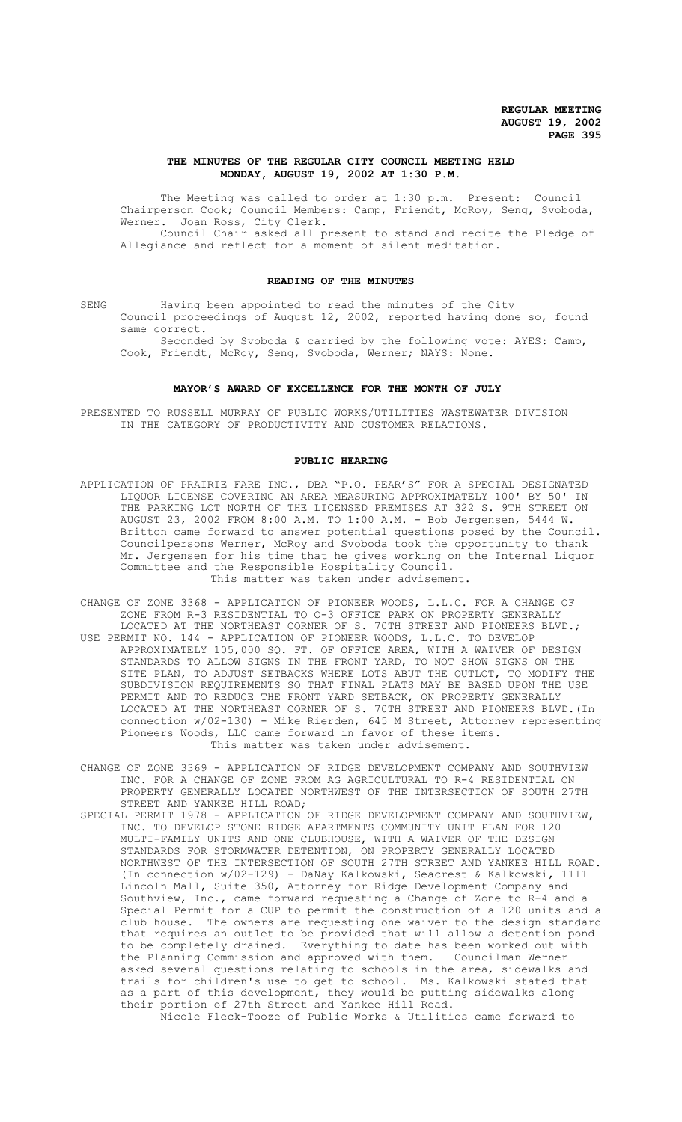## **THE MINUTES OF THE REGULAR CITY COUNCIL MEETING HELD MONDAY, AUGUST 19, 2002 AT 1:30 P.M.**

The Meeting was called to order at 1:30 p.m. Present: Council Chairperson Cook; Council Members: Camp, Friendt, McRoy, Seng, Svoboda, Werner. Joan Ross, City Clerk. Council Chair asked all present to stand and recite the Pledge of

Allegiance and reflect for a moment of silent meditation.

## **READING OF THE MINUTES**

SENG Having been appointed to read the minutes of the City Council proceedings of August 12, 2002, reported having done so, found same correct.

Seconded by Svoboda & carried by the following vote: AYES: Camp, Cook, Friendt, McRoy, Seng, Svoboda, Werner; NAYS: None.

#### **MAYOR'S AWARD OF EXCELLENCE FOR THE MONTH OF JULY**

PRESENTED TO RUSSELL MURRAY OF PUBLIC WORKS/UTILITIES WASTEWATER DIVISION IN THE CATEGORY OF PRODUCTIVITY AND CUSTOMER RELATIONS.

### **PUBLIC HEARING**

- APPLICATION OF PRAIRIE FARE INC., DBA "P.O. PEAR'S" FOR A SPECIAL DESIGNATED LIQUOR LICENSE COVERING AN AREA MEASURING APPROXIMATELY 100' BY 50' IN THE PARKING LOT NORTH OF THE LICENSED PREMISES AT 322 S. 9TH STREET ON AUGUST 23, 2002 FROM 8:00 A.M. TO 1:00 A.M. - Bob Jergensen, 5444 W. Britton came forward to answer potential questions posed by the Council. Councilpersons Werner, McRoy and Svoboda took the opportunity to thank Mr. Jergensen for his time that he gives working on the Internal Liquor Committee and the Responsible Hospitality Council. This matter was taken under advisement.
- CHANGE OF ZONE 3368 APPLICATION OF PIONEER WOODS, L.L.C. FOR A CHANGE OF ZONE FROM R-3 RESIDENTIAL TO O-3 OFFICE PARK ON PROPERTY GENERALLY LOCATED AT THE NORTHEAST CORNER OF S. 70TH STREET AND PIONEERS BLVD.;
- USE PERMIT NO. 144 APPLICATION OF PIONEER WOODS, L.L.C. TO DEVELOP APPROXIMATELY 105,000 SQ. FT. OF OFFICE AREA, WITH A WAIVER OF DESIGN STANDARDS TO ALLOW SIGNS IN THE FRONT YARD, TO NOT SHOW SIGNS ON THE SITE PLAN, TO ADJUST SETBACKS WHERE LOTS ABUT THE OUTLOT, TO MODIFY THE SUBDIVISION REQUIREMENTS SO THAT FINAL PLATS MAY BE BASED UPON THE USE PERMIT AND TO REDUCE THE FRONT YARD SETBACK, ON PROPERTY GENERALLY LOCATED AT THE NORTHEAST CORNER OF S. 70TH STREET AND PIONEERS BLVD.(In connection w/02-130) - Mike Rierden, 645 M Street, Attorney representing Pioneers Woods, LLC came forward in favor of these items. This matter was taken under advisement.
- CHANGE OF ZONE 3369 APPLICATION OF RIDGE DEVELOPMENT COMPANY AND SOUTHVIEW INC. FOR A CHANGE OF ZONE FROM AG AGRICULTURAL TO R-4 RESIDENTIAL ON PROPERTY GENERALLY LOCATED NORTHWEST OF THE INTERSECTION OF SOUTH 27TH STREET AND YANKEE HILL ROAD;
- SPECIAL PERMIT 1978 APPLICATION OF RIDGE DEVELOPMENT COMPANY AND SOUTHVIEW, INC. TO DEVELOP STONE RIDGE APARTMENTS COMMUNITY UNIT PLAN FOR 120 MULTI-FAMILY UNITS AND ONE CLUBHOUSE, WITH A WAIVER OF THE DESIGN STANDARDS FOR STORMWATER DETENTION, ON PROPERTY GENERALLY LOCATED NORTHWEST OF THE INTERSECTION OF SOUTH 27TH STREET AND YANKEE HILL ROAD. (In connection w/02-129) - DaNay Kalkowski, Seacrest & Kalkowski, 1111 Lincoln Mall, Suite 350, Attorney for Ridge Development Company and Southview, Inc., came forward requesting a Change of Zone to R-4 and a Special Permit for a CUP to permit the construction of a 120 units and a club house. The owners are requesting one waiver to the design standard that requires an outlet to be provided that will allow a detention pond to be completely drained. Everything to date has been worked out with<br>the Planning Commission and approved with them. Councilman Werner the Planning Commission and approved with them. asked several questions relating to schools in the area, sidewalks and trails for children's use to get to school. Ms. Kalkowski stated that as a part of this development, they would be putting sidewalks along their portion of 27th Street and Yankee Hill Road. Nicole Fleck-Tooze of Public Works & Utilities came forward to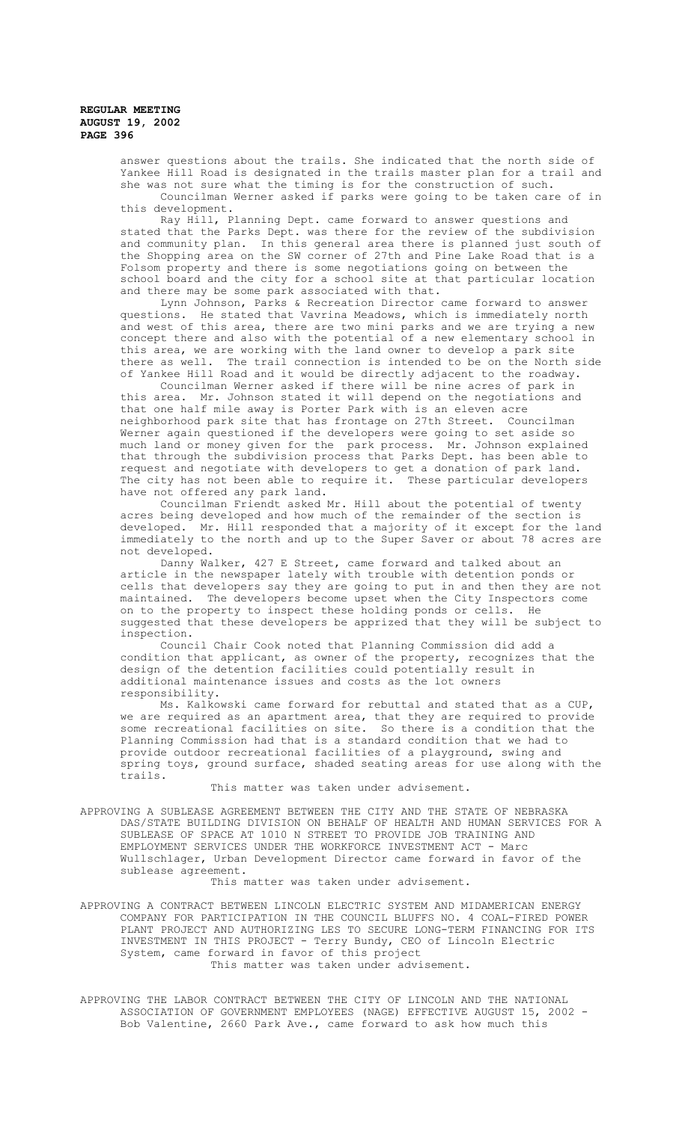> answer questions about the trails. She indicated that the north side of Yankee Hill Road is designated in the trails master plan for a trail and she was not sure what the timing is for the construction of such. Councilman Werner asked if parks were going to be taken care of in this development.

> Ray Hill, Planning Dept. came forward to answer questions and stated that the Parks Dept. was there for the review of the subdivision and community plan. In this general area there is planned just south of the Shopping area on the SW corner of 27th and Pine Lake Road that is a Folsom property and there is some negotiations going on between the school board and the city for a school site at that particular location and there may be some park associated with that.

> Lynn Johnson, Parks & Recreation Director came forward to answer<br>questions. He stated that Vavrina Meadows, which is immediately north He stated that Vavrina Meadows, which is immediately north and west of this area, there are two mini parks and we are trying a new concept there and also with the potential of a new elementary school in this area, we are working with the land owner to develop a park site there as well. The trail connection is intended to be on the North side of Yankee Hill Road and it would be directly adjacent to the roadway.

Councilman Werner asked if there will be nine acres of park in this area. Mr. Johnson stated it will depend on the negotiations and that one half mile away is Porter Park with is an eleven acre neighborhood park site that has frontage on 27th Street. Councilman Werner again questioned if the developers were going to set aside so much land or money given for the park process. Mr. Johnson explained that through the subdivision process that Parks Dept. has been able to request and negotiate with developers to get a donation of park land. The city has not been able to require it. These particular developers have not offered any park land.

Councilman Friendt asked Mr. Hill about the potential of twenty acres being developed and how much of the remainder of the section is developed. Mr. Hill responded that a majority of it except for the land immediately to the north and up to the Super Saver or about 78 acres are not developed.

Danny Walker, 427 E Street, came forward and talked about an article in the newspaper lately with trouble with detention ponds or cells that developers say they are going to put in and then they are not maintained. The developers become upset when the City Inspectors come on to the property to inspect these holding ponds or cells. He suggested that these developers be apprized that they will be subject to inspection.

Council Chair Cook noted that Planning Commission did add a condition that applicant, as owner of the property, recognizes that the design of the detention facilities could potentially result in additional maintenance issues and costs as the lot owners responsibility.

Ms. Kalkowski came forward for rebuttal and stated that as a CUP, we are required as an apartment area, that they are required to provide some recreational facilities on site. So there is a condition that the Planning Commission had that is a standard condition that we had to provide outdoor recreational facilities of a playground, swing and spring toys, ground surface, shaded seating areas for use along with the trails.

This matter was taken under advisement.

APPROVING A SUBLEASE AGREEMENT BETWEEN THE CITY AND THE STATE OF NEBRASKA DAS/STATE BUILDING DIVISION ON BEHALF OF HEALTH AND HUMAN SERVICES FOR A SUBLEASE OF SPACE AT 1010 N STREET TO PROVIDE JOB TRAINING AND EMPLOYMENT SERVICES UNDER THE WORKFORCE INVESTMENT ACT - Marc Wullschlager, Urban Development Director came forward in favor of the sublease agreement.

This matter was taken under advisement.

APPROVING A CONTRACT BETWEEN LINCOLN ELECTRIC SYSTEM AND MIDAMERICAN ENERGY COMPANY FOR PARTICIPATION IN THE COUNCIL BLUFFS NO. 4 COAL-FIRED POWER PLANT PROJECT AND AUTHORIZING LES TO SECURE LONG-TERM FINANCING FOR ITS INVESTMENT IN THIS PROJECT - Terry Bundy, CEO of Lincoln Electric System, came forward in favor of this project This matter was taken under advisement.

APPROVING THE LABOR CONTRACT BETWEEN THE CITY OF LINCOLN AND THE NATIONAL ASSOCIATION OF GOVERNMENT EMPLOYEES (NAGE) EFFECTIVE AUGUST 15, 2002 - Bob Valentine, 2660 Park Ave., came forward to ask how much this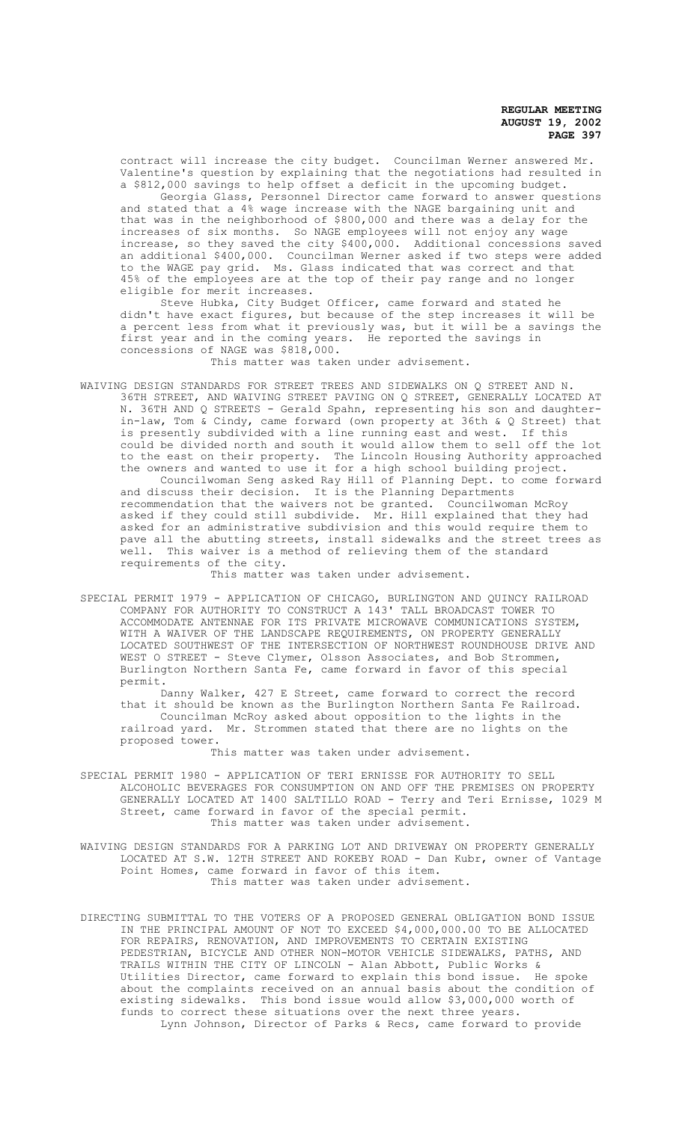contract will increase the city budget. Councilman Werner answered Mr. Valentine's question by explaining that the negotiations had resulted in a \$812,000 savings to help offset a deficit in the upcoming budget. Georgia Glass, Personnel Director came forward to answer questions

and stated that a 4% wage increase with the NAGE bargaining unit and that was in the neighborhood of \$800,000 and there was a delay for the increases of six months. So NAGE employees will not enjoy any wage increase, so they saved the city \$400,000. Additional concessions saved an additional \$400,000. Councilman Werner asked if two steps were added to the WAGE pay grid. Ms. Glass indicated that was correct and that 45% of the employees are at the top of their pay range and no longer eligible for merit increases.

Steve Hubka, City Budget Officer, came forward and stated he didn't have exact figures, but because of the step increases it will be a percent less from what it previously was, but it will be a savings the first year and in the coming years. He reported the savings in concessions of NAGE was \$818,000.

This matter was taken under advisement.

WAIVING DESIGN STANDARDS FOR STREET TREES AND SIDEWALKS ON Q STREET AND N. 36TH STREET, AND WAIVING STREET PAVING ON Q STREET, GENERALLY LOCATED AT N. 36TH AND Q STREETS - Gerald Spahn, representing his son and daughterin-law, Tom & Cindy, came forward (own property at 36th & Q Street) that is presently subdivided with a line running east and west. If this could be divided north and south it would allow them to sell off the lot to the east on their property. The Lincoln Housing Authority approached the owners and wanted to use it for a high school building project. Councilwoman Seng asked Ray Hill of Planning Dept. to come forward and discuss their decision. It is the Planning Departments recommendation that the waivers not be granted. Councilwoman McRoy asked if they could still subdivide. Mr. Hill explained that they had asked for an administrative subdivision and this would require them to pave all the abutting streets, install sidewalks and the street trees as well. This waiver is a method of relieving them of the standard requirements of the city.

This matter was taken under advisement.

SPECIAL PERMIT 1979 - APPLICATION OF CHICAGO, BURLINGTON AND QUINCY RAILROAD COMPANY FOR AUTHORITY TO CONSTRUCT A 143' TALL BROADCAST TOWER TO ACCOMMODATE ANTENNAE FOR ITS PRIVATE MICROWAVE COMMUNICATIONS SYSTEM, WITH A WAIVER OF THE LANDSCAPE REQUIREMENTS, ON PROPERTY GENERALLY LOCATED SOUTHWEST OF THE INTERSECTION OF NORTHWEST ROUNDHOUSE DRIVE AND WEST O STREET - Steve Clymer, Olsson Associates, and Bob Strommen, Burlington Northern Santa Fe, came forward in favor of this special permit.

Danny Walker, 427 E Street, came forward to correct the record that it should be known as the Burlington Northern Santa Fe Railroad. Councilman McRoy asked about opposition to the lights in the railroad yard. Mr. Strommen stated that there are no lights on the proposed tower.

This matter was taken under advisement.

SPECIAL PERMIT 1980 - APPLICATION OF TERI ERNISSE FOR AUTHORITY TO SELL ALCOHOLIC BEVERAGES FOR CONSUMPTION ON AND OFF THE PREMISES ON PROPERTY GENERALLY LOCATED AT 1400 SALTILLO ROAD - Terry and Teri Ernisse, 1029 M Street, came forward in favor of the special permit. This matter was taken under advisement.

WAIVING DESIGN STANDARDS FOR A PARKING LOT AND DRIVEWAY ON PROPERTY GENERALLY LOCATED AT S.W. 12TH STREET AND ROKEBY ROAD - Dan Kubr, owner of Vantage Point Homes, came forward in favor of this item. This matter was taken under advisement.

DIRECTING SUBMITTAL TO THE VOTERS OF A PROPOSED GENERAL OBLIGATION BOND ISSUE IN THE PRINCIPAL AMOUNT OF NOT TO EXCEED \$4,000,000.00 TO BE ALLOCATED FOR REPAIRS, RENOVATION, AND IMPROVEMENTS TO CERTAIN EXISTING PEDESTRIAN, BICYCLE AND OTHER NON-MOTOR VEHICLE SIDEWALKS, PATHS, AND TRAILS WITHIN THE CITY OF LINCOLN - Alan Abbott, Public Works & Utilities Director, came forward to explain this bond issue. He spoke about the complaints received on an annual basis about the condition of existing sidewalks. This bond issue would allow \$3,000,000 worth of funds to correct these situations over the next three years. Lynn Johnson, Director of Parks & Recs, came forward to provide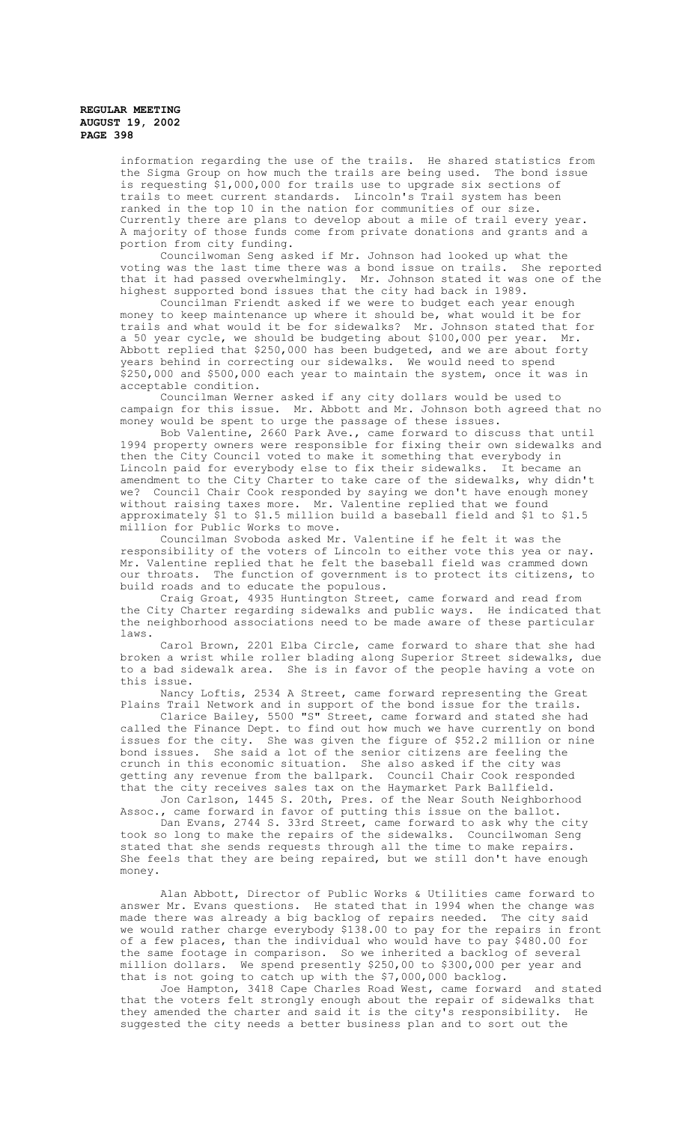> information regarding the use of the trails. He shared statistics from the Sigma Group on how much the trails are being used. The bond issue is requesting \$1,000,000 for trails use to upgrade six sections of trails to meet current standards. Lincoln's Trail system has been ranked in the top 10 in the nation for communities of our size. Currently there are plans to develop about a mile of trail every year. A majority of those funds come from private donations and grants and a portion from city funding.

Councilwoman Seng asked if Mr. Johnson had looked up what the voting was the last time there was a bond issue on trails. She reported that it had passed overwhelmingly. Mr. Johnson stated it was one of the highest supported bond issues that the city had back in 1989.

Councilman Friendt asked if we were to budget each year enough money to keep maintenance up where it should be, what would it be for trails and what would it be for sidewalks? Mr. Johnson stated that for a 50 year cycle, we should be budgeting about \$100,000 per year. Mr. Abbott replied that \$250,000 has been budgeted, and we are about forty years behind in correcting our sidewalks. We would need to spend \$250,000 and \$500,000 each year to maintain the system, once it was in acceptable condition.

Councilman Werner asked if any city dollars would be used to campaign for this issue. Mr. Abbott and Mr. Johnson both agreed that no money would be spent to urge the passage of these issues.

Bob Valentine, 2660 Park Ave., came forward to discuss that until 1994 property owners were responsible for fixing their own sidewalks and then the City Council voted to make it something that everybody in Lincoln paid for everybody else to fix their sidewalks. It became an amendment to the City Charter to take care of the sidewalks, why didn't we? Council Chair Cook responded by saying we don't have enough money without raising taxes more. Mr. Valentine replied that we found approximately \$1 to \$1.5 million build a baseball field and \$1 to \$1.5 million for Public Works to move.

Councilman Svoboda asked Mr. Valentine if he felt it was the responsibility of the voters of Lincoln to either vote this yea or nay. Mr. Valentine replied that he felt the baseball field was crammed down our throats. The function of government is to protect its citizens, to build roads and to educate the populous.

Craig Groat, 4935 Huntington Street, came forward and read from the City Charter regarding sidewalks and public ways. He indicated that the neighborhood associations need to be made aware of these particular laws.

Carol Brown, 2201 Elba Circle, came forward to share that she had broken a wrist while roller blading along Superior Street sidewalks, due to a bad sidewalk area. She is in favor of the people having a vote on this issue.

Nancy Loftis, 2534 A Street, came forward representing the Great Plains Trail Network and in support of the bond issue for the trails.

Clarice Bailey, 5500 "S" Street, came forward and stated she had called the Finance Dept. to find out how much we have currently on bond issues for the city. She was given the figure of \$52.2 million or nine She was given the figure of \$52.2 million or nine bond issues. She said a lot of the senior citizens are feeling the crunch in this economic situation. She also asked if the city was getting any revenue from the ballpark. Council Chair Cook responded that the city receives sales tax on the Haymarket Park Ballfield.

Jon Carlson, 1445 S. 20th, Pres. of the Near South Neighborhood Assoc., came forward in favor of putting this issue on the ballot.

Dan Evans, 2744 S. 33rd Street, came forward to ask why the city took so long to make the repairs of the sidewalks. Councilwoman Seng stated that she sends requests through all the time to make repairs. She feels that they are being repaired, but we still don't have enough money.

Alan Abbott, Director of Public Works & Utilities came forward to answer Mr. Evans questions. He stated that in 1994 when the change was made there was already a big backlog of repairs needed. The city said we would rather charge everybody \$138.00 to pay for the repairs in front of a few places, than the individual who would have to pay \$480.00 for the same footage in comparison. So we inherited a backlog of several million dollars. We spend presently \$250,00 to \$300,000 per year and that is not going to catch up with the \$7,000,000 backlog.

Joe Hampton, 3418 Cape Charles Road West, came forward and stated that the voters felt strongly enough about the repair of sidewalks that they amended the charter and said it is the city's responsibility. He suggested the city needs a better business plan and to sort out the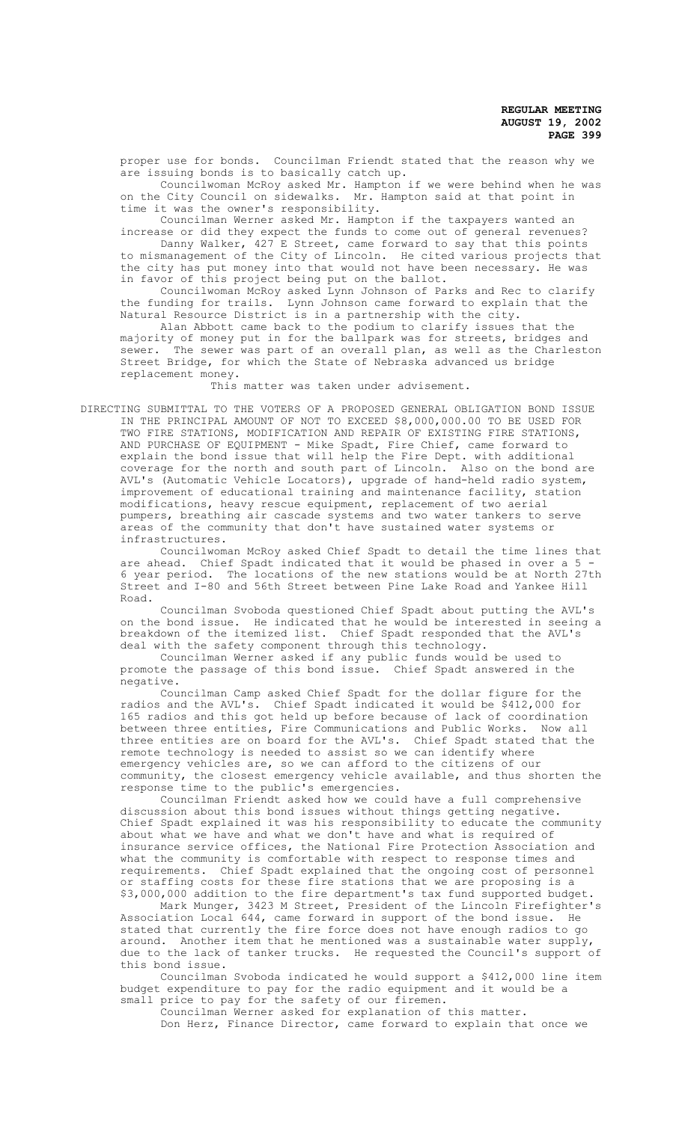proper use for bonds. Councilman Friendt stated that the reason why we are issuing bonds is to basically catch up.

Councilwoman McRoy asked Mr. Hampton if we were behind when he was on the City Council on sidewalks. Mr. Hampton said at that point in time it was the owner's responsibility.

Councilman Werner asked Mr. Hampton if the taxpayers wanted an increase or did they expect the funds to come out of general revenues?

Danny Walker, 427 E Street, came forward to say that this points to mismanagement of the City of Lincoln. He cited various projects that the city has put money into that would not have been necessary. He was in favor of this project being put on the ballot.

Councilwoman McRoy asked Lynn Johnson of Parks and Rec to clarify the funding for trails. Lynn Johnson came forward to explain that the Natural Resource District is in a partnership with the city.

Alan Abbott came back to the podium to clarify issues that the majority of money put in for the ballpark was for streets, bridges and sewer. The sewer was part of an overall plan, as well as the Charleston Street Bridge, for which the State of Nebraska advanced us bridge replacement money.

This matter was taken under advisement.

DIRECTING SUBMITTAL TO THE VOTERS OF A PROPOSED GENERAL OBLIGATION BOND ISSUE IN THE PRINCIPAL AMOUNT OF NOT TO EXCEED \$8,000,000.00 TO BE USED FOR TWO FIRE STATIONS, MODIFICATION AND REPAIR OF EXISTING FIRE STATIONS, AND PURCHASE OF EQUIPMENT - Mike Spadt, Fire Chief, came forward to explain the bond issue that will help the Fire Dept. with additional coverage for the north and south part of Lincoln. Also on the bond are AVL's (Automatic Vehicle Locators), upgrade of hand-held radio system, improvement of educational training and maintenance facility, station modifications, heavy rescue equipment, replacement of two aerial pumpers, breathing air cascade systems and two water tankers to serve areas of the community that don't have sustained water systems or infrastructures.

Councilwoman McRoy asked Chief Spadt to detail the time lines that are ahead. Chief Spadt indicated that it would be phased in over a 5 - 6 year period. The locations of the new stations would be at North 27th Street and I-80 and 56th Street between Pine Lake Road and Yankee Hill Road.

Councilman Svoboda questioned Chief Spadt about putting the AVL's on the bond issue. He indicated that he would be interested in seeing a breakdown of the itemized list. Chief Spadt responded that the AVL's deal with the safety component through this technology.

Councilman Werner asked if any public funds would be used to promote the passage of this bond issue. Chief Spadt answered in the negative.

Councilman Camp asked Chief Spadt for the dollar figure for the radios and the AVL's. Chief Spadt indicated it would be \$412,000 for 165 radios and this got held up before because of lack of coordination between three entities, Fire Communications and Public Works. Now all three entities are on board for the AVL's. Chief Spadt stated that the remote technology is needed to assist so we can identify where emergency vehicles are, so we can afford to the citizens of our community, the closest emergency vehicle available, and thus shorten the response time to the public's emergencies.

Councilman Friendt asked how we could have a full comprehensive discussion about this bond issues without things getting negative. Chief Spadt explained it was his responsibility to educate the community about what we have and what we don't have and what is required of insurance service offices, the National Fire Protection Association and what the community is comfortable with respect to response times and requirements. Chief Spadt explained that the ongoing cost of personnel or staffing costs for these fire stations that we are proposing is a \$3,000,000 addition to the fire department's tax fund supported budget.

Mark Munger, 3423 M Street, President of the Lincoln Firefighter's Association Local 644, came forward in support of the bond issue. He stated that currently the fire force does not have enough radios to go around. Another item that he mentioned was a sustainable water supply, due to the lack of tanker trucks. He requested the Council's support of this bond issue.

Councilman Svoboda indicated he would support a \$412,000 line item budget expenditure to pay for the radio equipment and it would be a small price to pay for the safety of our firemen.

Councilman Werner asked for explanation of this matter. Don Herz, Finance Director, came forward to explain that once we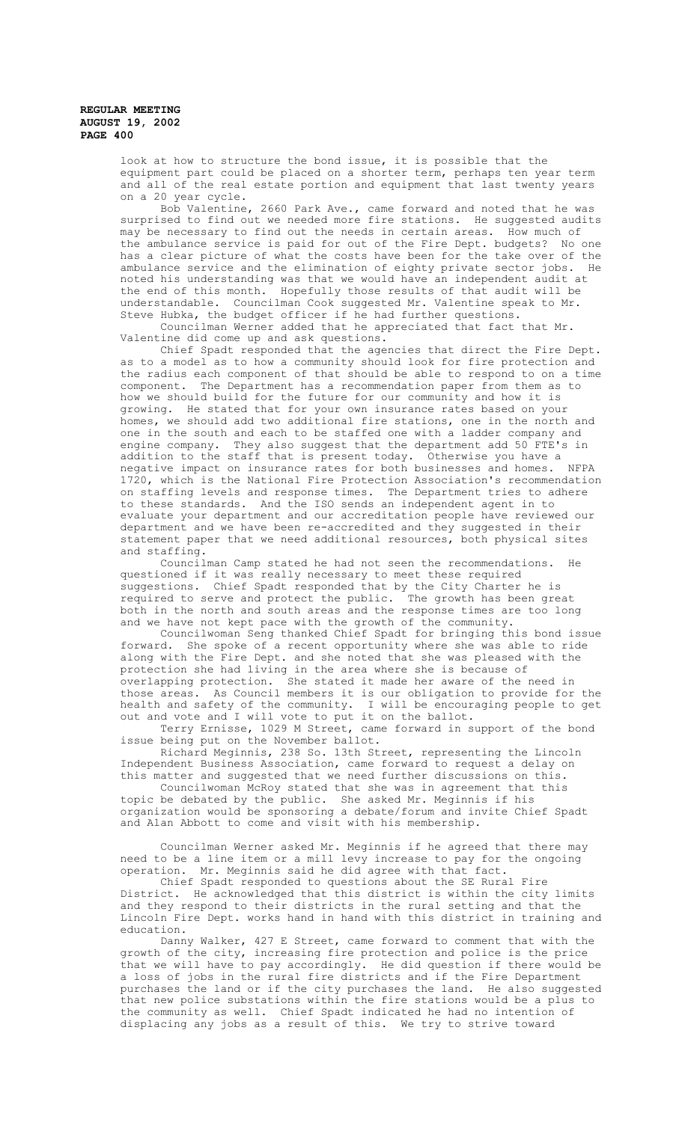> look at how to structure the bond issue, it is possible that the equipment part could be placed on a shorter term, perhaps ten year term and all of the real estate portion and equipment that last twenty years on a 20 year cycle.

Bob Valentine, 2660 Park Ave., came forward and noted that he was surprised to find out we needed more fire stations. He suggested audits may be necessary to find out the needs in certain areas. How much of the ambulance service is paid for out of the Fire Dept. budgets? No one has a clear picture of what the costs have been for the take over of the ambulance service and the elimination of eighty private sector jobs. He noted his understanding was that we would have an independent audit at<br>the end of this month. Hopefully those results of that audit will be Hopefully those results of that audit will be understandable. Councilman Cook suggested Mr. Valentine speak to Mr. Steve Hubka, the budget officer if he had further questions.

Councilman Werner added that he appreciated that fact that Mr. Valentine did come up and ask questions.

Chief Spadt responded that the agencies that direct the Fire Dept. as to a model as to how a community should look for fire protection and the radius each component of that should be able to respond to on a time component. The Department has a recommendation paper from them as to The Department has a recommendation paper from them as to how we should build for the future for our community and how it is growing. He stated that for your own insurance rates based on your homes, we should add two additional fire stations, one in the north and one in the south and each to be staffed one with a ladder company and engine company. They also suggest that the department add 50 FTE's in addition to the staff that is present today. Otherwise you have a negative impact on insurance rates for both businesses and homes. 1720, which is the National Fire Protection Association's recommendation on staffing levels and response times. The Department tries to adhere to these standards. And the ISO sends an independent agent in to evaluate your department and our accreditation people have reviewed our department and we have been re-accredited and they suggested in their statement paper that we need additional resources, both physical sites and staffing.

Councilman Camp stated he had not seen the recommendations. He questioned if it was really necessary to meet these required suggestions. Chief Spadt responded that by the City Charter he is required to serve and protect the public. The growth has been great both in the north and south areas and the response times are too long and we have not kept pace with the growth of the community.

Councilwoman Seng thanked Chief Spadt for bringing this bond issue forward. She spoke of a recent opportunity where she was able to ride along with the Fire Dept. and she noted that she was pleased with the protection she had living in the area where she is because of overlapping protection. She stated it made her aware of the need in those areas. As Council members it is our obligation to provide for the health and safety of the community. I will be encouraging people to get out and vote and I will vote to put it on the ballot.

Terry Ernisse, 1029 M Street, came forward in support of the bond issue being put on the November ballot.

Richard Meginnis, 238 So. 13th Street, representing the Lincoln Independent Business Association, came forward to request a delay on this matter and suggested that we need further discussions on this.

Councilwoman McRoy stated that she was in agreement that this topic be debated by the public. She asked Mr. Meginnis if his organization would be sponsoring a debate/forum and invite Chief Spadt and Alan Abbott to come and visit with his membership.

Councilman Werner asked Mr. Meginnis if he agreed that there may need to be a line item or a mill levy increase to pay for the ongoing operation. Mr. Meginnis said he did agree with that fact.

Chief Spadt responded to questions about the SE Rural Fire District. He acknowledged that this district is within the city limits and they respond to their districts in the rural setting and that the Lincoln Fire Dept. works hand in hand with this district in training and education.

Danny Walker, 427 E Street, came forward to comment that with the growth of the city, increasing fire protection and police is the price that we will have to pay accordingly. He did question if there would be a loss of jobs in the rural fire districts and if the Fire Department purchases the land or if the city purchases the land. He also suggested that new police substations within the fire stations would be a plus to the community as well. Chief Spadt indicated he had no intention of displacing any jobs as a result of this. We try to strive toward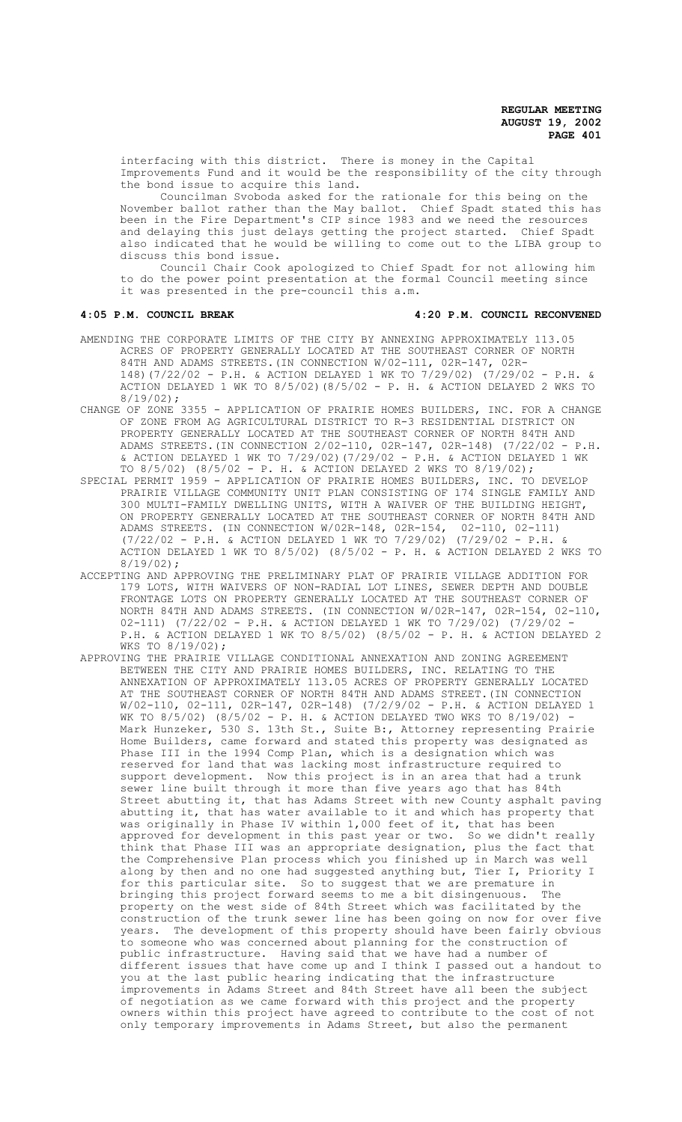interfacing with this district. There is money in the Capital Improvements Fund and it would be the responsibility of the city through the bond issue to acquire this land.

Councilman Svoboda asked for the rationale for this being on the November ballot rather than the May ballot. Chief Spadt stated this has been in the Fire Department's CIP since 1983 and we need the resources and delaying this just delays getting the project started. Chief Spadt also indicated that he would be willing to come out to the LIBA group to discuss this bond issue.

Council Chair Cook apologized to Chief Spadt for not allowing him to do the power point presentation at the formal Council meeting since it was presented in the pre-council this a.m.

#### **4:05 P.M. COUNCIL BREAK 4:20 P.M. COUNCIL RECONVENED**

- AMENDING THE CORPORATE LIMITS OF THE CITY BY ANNEXING APPROXIMATELY 113.05 ACRES OF PROPERTY GENERALLY LOCATED AT THE SOUTHEAST CORNER OF NORTH 84TH AND ADAMS STREETS.(IN CONNECTION W/02-111, 02R-147, 02R-148)(7/22/02 - P.H. & ACTION DELAYED 1 WK TO 7/29/02) (7/29/02 - P.H. & ACTION DELAYED 1 WK TO 8/5/02)(8/5/02 - P. H. & ACTION DELAYED 2 WKS TO 8/19/02);
- CHANGE OF ZONE 3355 APPLICATION OF PRAIRIE HOMES BUILDERS, INC. FOR A CHANGE OF ZONE FROM AG AGRICULTURAL DISTRICT TO R-3 RESIDENTIAL DISTRICT ON PROPERTY GENERALLY LOCATED AT THE SOUTHEAST CORNER OF NORTH 84TH AND ADAMS STREETS.(IN CONNECTION 2/02-110, 02R-147, 02R-148) (7/22/02 - P.H. & ACTION DELAYED 1 WK TO 7/29/02)(7/29/02 - P.H. & ACTION DELAYED 1 WK TO 8/5/02) (8/5/02 - P. H. & ACTION DELAYED 2 WKS TO 8/19/02);
- SPECIAL PERMIT 1959 APPLICATION OF PRAIRIE HOMES BUILDERS, INC. TO DEVELOP PRAIRIE VILLAGE COMMUNITY UNIT PLAN CONSISTING OF 174 SINGLE FAMILY AND 300 MULTI-FAMILY DWELLING UNITS, WITH A WAIVER OF THE BUILDING HEIGHT, ON PROPERTY GENERALLY LOCATED AT THE SOUTHEAST CORNER OF NORTH 84TH AND ADAMS STREETS. (IN CONNECTION W/02R-148, 02R-154, 02-110, 02-111) (7/22/02 - P.H. & ACTION DELAYED 1 WK TO 7/29/02) (7/29/02 - P.H. & ACTION DELAYED 1 WK TO 8/5/02) (8/5/02 - P. H. & ACTION DELAYED 2 WKS TO 8/19/02);
- ACCEPTING AND APPROVING THE PRELIMINARY PLAT OF PRAIRIE VILLAGE ADDITION FOR 179 LOTS, WITH WAIVERS OF NON-RADIAL LOT LINES, SEWER DEPTH AND DOUBLE FRONTAGE LOTS ON PROPERTY GENERALLY LOCATED AT THE SOUTHEAST CORNER OF NORTH 84TH AND ADAMS STREETS. (IN CONNECTION W/02R-147, 02R-154, 02-110, 02-111) (7/22/02 - P.H. & ACTION DELAYED 1 WK TO 7/29/02) (7/29/02 - P.H. & ACTION DELAYED 1 WK TO 8/5/02) (8/5/02 - P. H. & ACTION DELAYED 2 WKS TO 8/19/02);
- APPROVING THE PRAIRIE VILLAGE CONDITIONAL ANNEXATION AND ZONING AGREEMENT BETWEEN THE CITY AND PRAIRIE HOMES BUILDERS, INC. RELATING TO THE ANNEXATION OF APPROXIMATELY 113.05 ACRES OF PROPERTY GENERALLY LOCATED AT THE SOUTHEAST CORNER OF NORTH 84TH AND ADAMS STREET.(IN CONNECTION W/02-110, 02-111, 02R-147, 02R-148) (7/2/9/02 - P.H. & ACTION DELAYED 1 WK TO  $8/5/02$ ) ( $8/5/02$  - P. H. & ACTION DELAYED TWO WKS TO  $8/19/02$ ) Mark Hunzeker, 530 S. 13th St., Suite B:, Attorney representing Prairie Home Builders, came forward and stated this property was designated as Phase III in the 1994 Comp Plan, which is a designation which was reserved for land that was lacking most infrastructure required to support development. Now this project is in an area that had a trunk sewer line built through it more than five years ago that has 84th Street abutting it, that has Adams Street with new County asphalt paving abutting it, that has water available to it and which has property that was originally in Phase IV within 1,000 feet of it, that has been approved for development in this past year or two. So we didn't really think that Phase III was an appropriate designation, plus the fact that the Comprehensive Plan process which you finished up in March was well along by then and no one had suggested anything but, Tier I, Priority I for this particular site. So to suggest that we are premature in<br>bringing this project forward seems to me a bit disingenuous. The bringing this project forward seems to me a bit disingenuous. property on the west side of 84th Street which was facilitated by the construction of the trunk sewer line has been going on now for over five years. The development of this property should have been fairly obvious to someone who was concerned about planning for the construction of public infrastructure. Having said that we have had a number of different issues that have come up and I think I passed out a handout to you at the last public hearing indicating that the infrastructure improvements in Adams Street and 84th Street have all been the subject of negotiation as we came forward with this project and the property owners within this project have agreed to contribute to the cost of not only temporary improvements in Adams Street, but also the permanent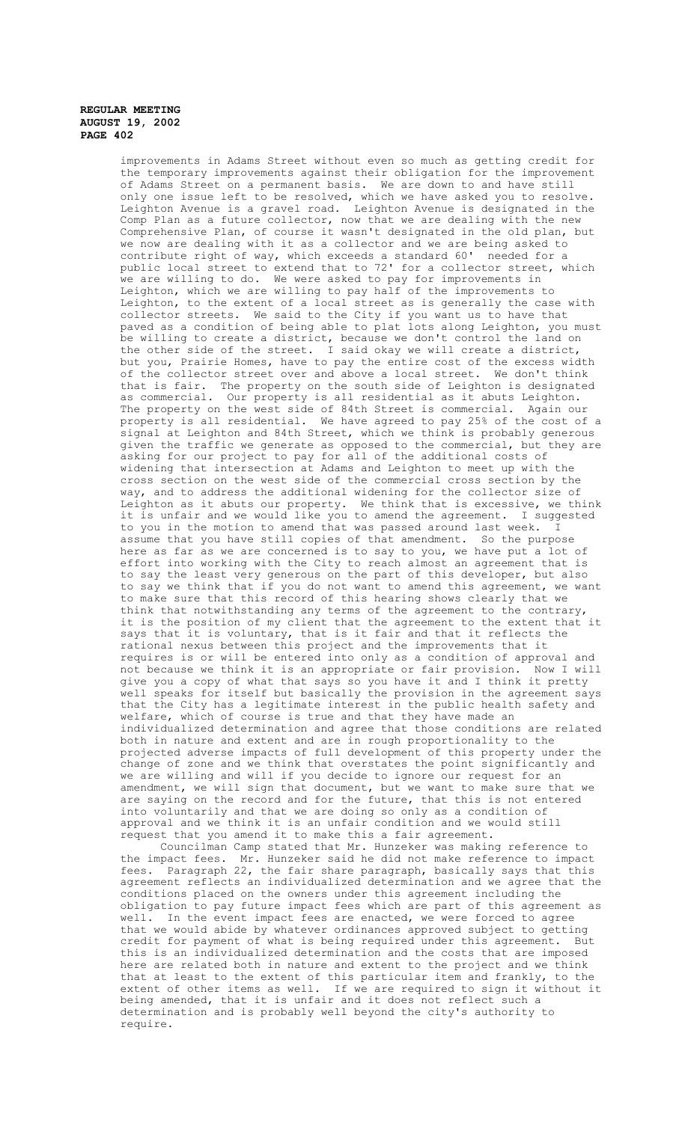improvements in Adams Street without even so much as getting credit for the temporary improvements against their obligation for the improvement of Adams Street on a permanent basis. We are down to and have still only one issue left to be resolved, which we have asked you to resolve. Leighton Avenue is a gravel road. Leighton Avenue is designated in the Comp Plan as a future collector, now that we are dealing with the new Comprehensive Plan, of course it wasn't designated in the old plan, but we now are dealing with it as a collector and we are being asked to contribute right of way, which exceeds a standard 60' needed for a public local street to extend that to 72' for a collector street, which we are willing to do. We were asked to pay for improvements in Leighton, which we are willing to pay half of the improvements to Leighton, to the extent of a local street as is generally the case with collector streets. We said to the City if you want us to have that paved as a condition of being able to plat lots along Leighton, you must be willing to create a district, because we don't control the land on the other side of the street. I said okay we will create a district, but you, Prairie Homes, have to pay the entire cost of the excess width of the collector street over and above a local street. We don't think of the collector street over and above a local street. that is fair. The property on the south side of Leighton is designated as commercial. Our property is all residential as it abuts Leighton. The property on the west side of 84th Street is commercial. Again our property is all residential. We have agreed to pay 25% of the cost of a signal at Leighton and 84th Street, which we think is probably generous given the traffic we generate as opposed to the commercial, but they are asking for our project to pay for all of the additional costs of widening that intersection at Adams and Leighton to meet up with the cross section on the west side of the commercial cross section by the way, and to address the additional widening for the collector size of Leighton as it abuts our property. We think that is excessive, we think it is unfair and we would like you to amend the agreement. I suggested to you in the motion to amend that was passed around last week. I assume that you have still copies of that amendment. So the purpose here as far as we are concerned is to say to you, we have put a lot of effort into working with the City to reach almost an agreement that is to say the least very generous on the part of this developer, but also to say we think that if you do not want to amend this agreement, we want to make sure that this record of this hearing shows clearly that we think that notwithstanding any terms of the agreement to the contrary, it is the position of my client that the agreement to the extent that it says that it is voluntary, that is it fair and that it reflects the rational nexus between this project and the improvements that it requires is or will be entered into only as a condition of approval and not because we think it is an appropriate or fair provision. Now I will give you a copy of what that says so you have it and I think it pretty well speaks for itself but basically the provision in the agreement says that the City has a legitimate interest in the public health safety and welfare, which of course is true and that they have made an individualized determination and agree that those conditions are related both in nature and extent and are in rough proportionality to the projected adverse impacts of full development of this property under the change of zone and we think that overstates the point significantly and we are willing and will if you decide to ignore our request for an amendment, we will sign that document, but we want to make sure that we are saying on the record and for the future, that this is not entered into voluntarily and that we are doing so only as a condition of approval and we think it is an unfair condition and we would still request that you amend it to make this a fair agreement. Councilman Camp stated that Mr. Hunzeker was making reference to

the impact fees. Mr. Hunzeker said he did not make reference to impact fees. Paragraph 22, the fair share paragraph, basically says that this agreement reflects an individualized determination and we agree that the conditions placed on the owners under this agreement including the obligation to pay future impact fees which are part of this agreement as well. In the event impact fees are enacted, we were forced to agree that we would abide by whatever ordinances approved subject to getting credit for payment of what is being required under this agreement. But this is an individualized determination and the costs that are imposed here are related both in nature and extent to the project and we think that at least to the extent of this particular item and frankly, to the extent of other items as well. If we are required to sign it without it being amended, that it is unfair and it does not reflect such a determination and is probably well beyond the city's authority to require.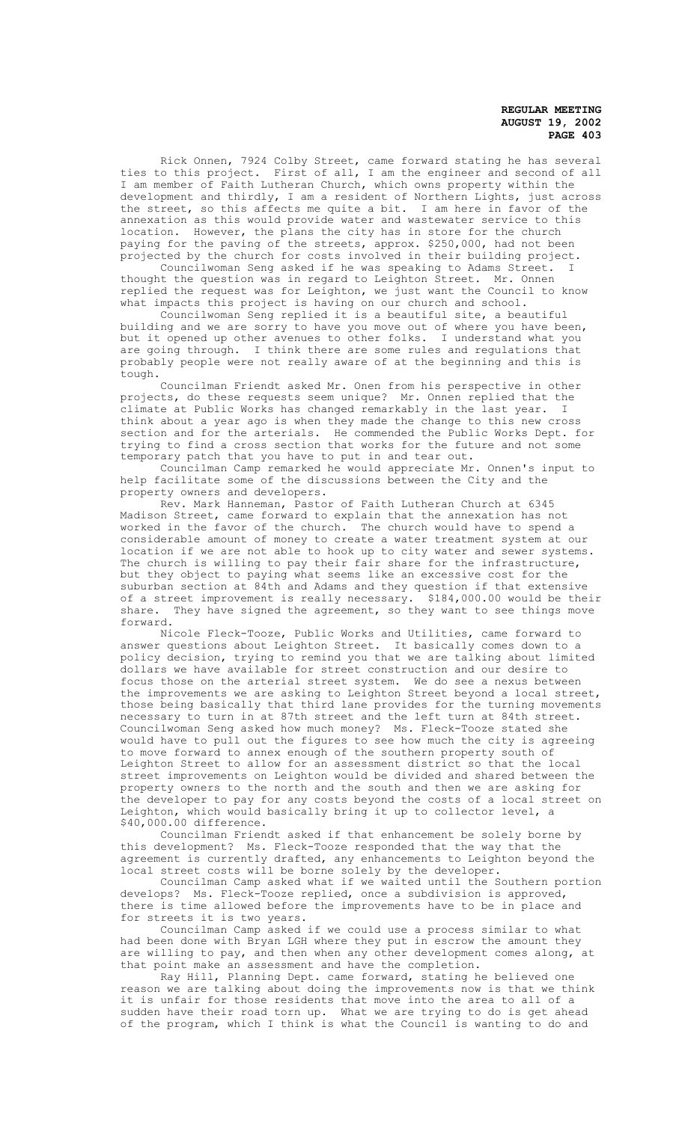Rick Onnen, 7924 Colby Street, came forward stating he has several ties to this project. First of all, I am the engineer and second of all I am member of Faith Lutheran Church, which owns property within the development and thirdly, I am a resident of Northern Lights, just across the street, so this affects me quite a bit. I am here in favor of the annexation as this would provide water and wastewater service to this location. However, the plans the city has in store for the church paying for the paving of the streets, approx. \$250,000, had not been projected by the church for costs involved in their building project.

Councilwoman Seng asked if he was speaking to Adams Street. I thought the question was in regard to Leighton Street. Mr. Onnen replied the request was for Leighton, we just want the Council to know what impacts this project is having on our church and school.

Councilwoman Seng replied it is a beautiful site, a beautiful building and we are sorry to have you move out of where you have been, but it opened up other avenues to other folks. I understand what you are going through. I think there are some rules and regulations that probably people were not really aware of at the beginning and this is tough.

Councilman Friendt asked Mr. Onen from his perspective in other projects, do these requests seem unique? Mr. Onnen replied that the climate at Public Works has changed remarkably in the last year. I think about a year ago is when they made the change to this new cross section and for the arterials. He commended the Public Works Dept. for trying to find a cross section that works for the future and not some temporary patch that you have to put in and tear out.

Councilman Camp remarked he would appreciate Mr. Onnen's input to help facilitate some of the discussions between the City and the property owners and developers.

Rev. Mark Hanneman, Pastor of Faith Lutheran Church at 6345 Madison Street, came forward to explain that the annexation has not worked in the favor of the church. The church would have to spend a considerable amount of money to create a water treatment system at our location if we are not able to hook up to city water and sewer systems. The church is willing to pay their fair share for the infrastructure, but they object to paying what seems like an excessive cost for the suburban section at 84th and Adams and they question if that extensive of a street improvement is really necessary. \$184,000.00 would be their share. They have signed the agreement, so they want to see things move forward.

Nicole Fleck-Tooze, Public Works and Utilities, came forward to answer questions about Leighton Street. It basically comes down to a policy decision, trying to remind you that we are talking about limited dollars we have available for street construction and our desire to focus those on the arterial street system. We do see a nexus between the improvements we are asking to Leighton Street beyond a local street, those being basically that third lane provides for the turning movements necessary to turn in at 87th street and the left turn at 84th street. Councilwoman Seng asked how much money? Ms. Fleck-Tooze stated she would have to pull out the figures to see how much the city is agreeing to move forward to annex enough of the southern property south of Leighton Street to allow for an assessment district so that the local street improvements on Leighton would be divided and shared between the property owners to the north and the south and then we are asking for the developer to pay for any costs beyond the costs of a local street on Leighton, which would basically bring it up to collector level, a \$40,000.00 difference.

Councilman Friendt asked if that enhancement be solely borne by this development? Ms. Fleck-Tooze responded that the way that the agreement is currently drafted, any enhancements to Leighton beyond the local street costs will be borne solely by the developer.

Councilman Camp asked what if we waited until the Southern portion develops? Ms. Fleck-Tooze replied, once a subdivision is approved, there is time allowed before the improvements have to be in place and for streets it is two years.

Councilman Camp asked if we could use a process similar to what had been done with Bryan LGH where they put in escrow the amount they are willing to pay, and then when any other development comes along, at that point make an assessment and have the completion.

Ray Hill, Planning Dept. came forward, stating he believed one reason we are talking about doing the improvements now is that we think it is unfair for those residents that move into the area to all of a sudden have their road torn up. What we are trying to do is get ahead of the program, which I think is what the Council is wanting to do and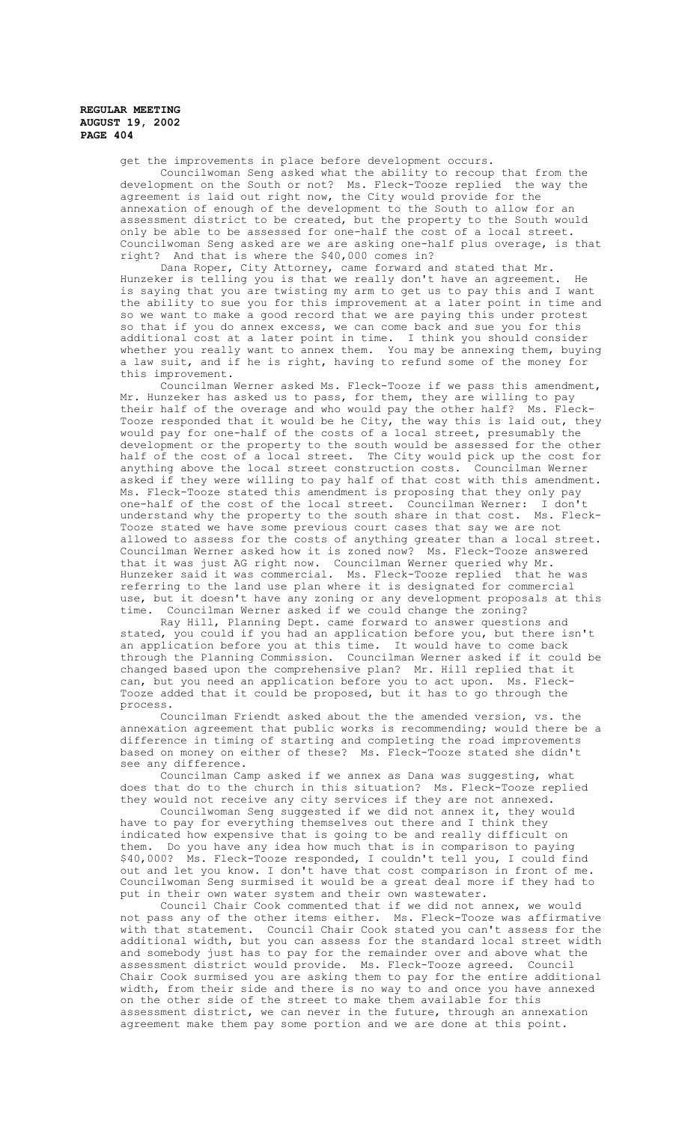get the improvements in place before development occurs.

Councilwoman Seng asked what the ability to recoup that from the development on the South or not? Ms. Fleck-Tooze replied the way the agreement is laid out right now, the City would provide for the annexation of enough of the development to the South to allow for an assessment district to be created, but the property to the South would only be able to be assessed for one-half the cost of a local street. Councilwoman Seng asked are we are asking one-half plus overage, is that right? And that is where the \$40,000 comes in?

Dana Roper, City Attorney, came forward and stated that Mr. Hunzeker is telling you is that we really don't have an agreement. He is saying that you are twisting my arm to get us to pay this and I want the ability to sue you for this improvement at a later point in time and so we want to make a good record that we are paying this under protest so that if you do annex excess, we can come back and sue you for this additional cost at a later point in time. I think you should consider whether you really want to annex them. You may be annexing them, buying a law suit, and if he is right, having to refund some of the money for this improvement.

Councilman Werner asked Ms. Fleck-Tooze if we pass this amendment, Mr. Hunzeker has asked us to pass, for them, they are willing to pay their half of the overage and who would pay the other half? Ms. Fleck-Tooze responded that it would be he City, the way this is laid out, they would pay for one-half of the costs of a local street, presumably the development or the property to the south would be assessed for the other half of the cost of a local street. The City would pick up the cost for anything above the local street construction costs. Councilman Werner asked if they were willing to pay half of that cost with this amendment. Ms. Fleck-Tooze stated this amendment is proposing that they only pay one-half of the cost of the local street. Councilman Werner: I don't understand why the property to the south share in that cost. Ms. Fleck-Tooze stated we have some previous court cases that say we are not allowed to assess for the costs of anything greater than a local street. Councilman Werner asked how it is zoned now? Ms. Fleck-Tooze answered that it was just AG right now. Councilman Werner queried why Mr. Hunzeker said it was commercial. Ms. Fleck-Tooze replied that he was referring to the land use plan where it is designated for commercial use, but it doesn't have any zoning or any development proposals at this time. Councilman Werner asked if we could change the zoning?

Ray Hill, Planning Dept. came forward to answer questions and stated, you could if you had an application before you, but there isn't an application before you at this time. It would have to come back through the Planning Commission. Councilman Werner asked if it could be changed based upon the comprehensive plan? Mr. Hill replied that it can, but you need an application before you to act upon. Ms. Fleck-Tooze added that it could be proposed, but it has to go through the process.

Councilman Friendt asked about the the amended version, vs. the annexation agreement that public works is recommending; would there be a difference in timing of starting and completing the road improvements based on money on either of these? Ms. Fleck-Tooze stated she didn't see any difference.

Councilman Camp asked if we annex as Dana was suggesting, what does that do to the church in this situation? Ms. Fleck-Tooze replied they would not receive any city services if they are not annexed.

Councilwoman Seng suggested if we did not annex it, they would have to pay for everything themselves out there and I think they indicated how expensive that is going to be and really difficult on them. Do you have any idea how much that is in comparison to paying \$40,000? Ms. Fleck-Tooze responded, I couldn't tell you, I could find out and let you know. I don't have that cost comparison in front of me. Councilwoman Seng surmised it would be a great deal more if they had to put in their own water system and their own wastewater.

Council Chair Cook commented that if we did not annex, we would not pass any of the other items either. Ms. Fleck-Tooze was affirmative with that statement. Council Chair Cook stated you can't assess for the additional width, but you can assess for the standard local street width and somebody just has to pay for the remainder over and above what the assessment district would provide. Ms. Fleck-Tooze agreed. Council Chair Cook surmised you are asking them to pay for the entire additional width, from their side and there is no way to and once you have annexed on the other side of the street to make them available for this assessment district, we can never in the future, through an annexation agreement make them pay some portion and we are done at this point.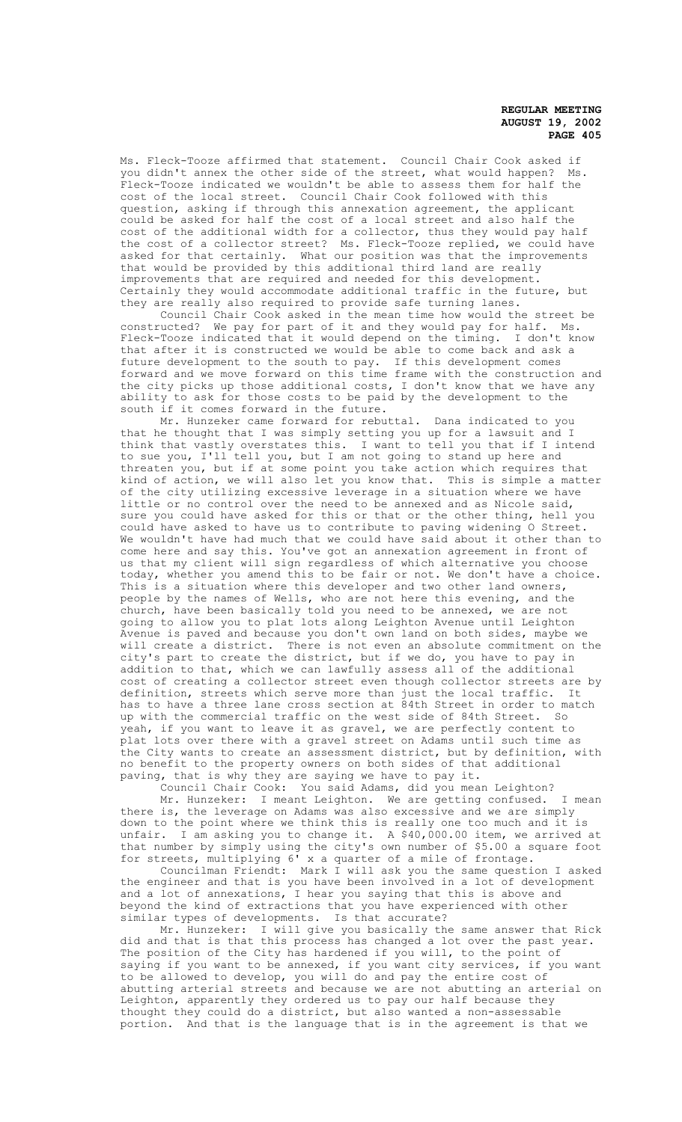Ms. Fleck-Tooze affirmed that statement. Council Chair Cook asked if<br>you didn't annex the other side of the street, what would happen? Ms. you didn't annex the other side of the street, what would happen? Fleck-Tooze indicated we wouldn't be able to assess them for half the cost of the local street. Council Chair Cook followed with this question, asking if through this annexation agreement, the applicant could be asked for half the cost of a local street and also half the cost of the additional width for a collector, thus they would pay half the cost of a collector street? Ms. Fleck-Tooze replied, we could have asked for that certainly. What our position was that the improvements that would be provided by this additional third land are really improvements that are required and needed for this development. Certainly they would accommodate additional traffic in the future, but they are really also required to provide safe turning lanes.

Council Chair Cook asked in the mean time how would the street be constructed? We pay for part of it and they would pay for half. Ms. Fleck-Tooze indicated that it would depend on the timing. I don't know that after it is constructed we would be able to come back and ask a future development to the south to pay. If this development comes forward and we move forward on this time frame with the construction and the city picks up those additional costs, I don't know that we have any ability to ask for those costs to be paid by the development to the south if it comes forward in the future.

Mr. Hunzeker came forward for rebuttal. Dana indicated to you that he thought that I was simply setting you up for a lawsuit and I think that vastly overstates this. I want to tell you that if I intend to sue you, I'll tell you, but I am not going to stand up here and threaten you, but if at some point you take action which requires that kind of action, we will also let you know that. This is simple a matter of the city utilizing excessive leverage in a situation where we have little or no control over the need to be annexed and as Nicole said, sure you could have asked for this or that or the other thing, hell you could have asked to have us to contribute to paving widening O Street. We wouldn't have had much that we could have said about it other than to come here and say this. You've got an annexation agreement in front of us that my client will sign regardless of which alternative you choose today, whether you amend this to be fair or not. We don't have a choice. This is a situation where this developer and two other land owners, people by the names of Wells, who are not here this evening, and the church, have been basically told you need to be annexed, we are not going to allow you to plat lots along Leighton Avenue until Leighton Avenue is paved and because you don't own land on both sides, maybe we will create a district. There is not even an absolute commitment on the city's part to create the district, but if we do, you have to pay in addition to that, which we can lawfully assess all of the additional cost of creating a collector street even though collector streets are by definition, streets which serve more than just the local traffic. It has to have a three lane cross section at 84th Street in order to match up with the commercial traffic on the west side of 84th Street. So yeah, if you want to leave it as gravel, we are perfectly content to<br>plat lots over there with a gravel street on Adams until such time a lots over there with a gravel street on Adams until such time as the City wants to create an assessment district, but by definition, with no benefit to the property owners on both sides of that additional paving, that is why they are saying we have to pay it.

Council Chair Cook: You said Adams, did you mean Leighton? Mr. Hunzeker: I meant Leighton. We are getting confused. I mean there is, the leverage on Adams was also excessive and we are simply down to the point where we think this is really one too much and it is unfair. I am asking you to change it. A \$40,000.00 item, we arrived at that number by simply using the city's own number of \$5.00 a square foot for streets, multiplying 6' x a quarter of a mile of frontage.

Councilman Friendt: Mark I will ask you the same question I asked the engineer and that is you have been involved in a lot of development and a lot of annexations, I hear you saying that this is above and beyond the kind of extractions that you have experienced with other similar types of developments. Is that accurate?

Mr. Hunzeker: I will give you basically the same answer that Rick did and that is that this process has changed a lot over the past year. The position of the City has hardened if you will, to the point of saying if you want to be annexed, if you want city services, if you want to be allowed to develop, you will do and pay the entire cost of abutting arterial streets and because we are not abutting an arterial on Leighton, apparently they ordered us to pay our half because they thought they could do a district, but also wanted a non-assessable portion. And that is the language that is in the agreement is that we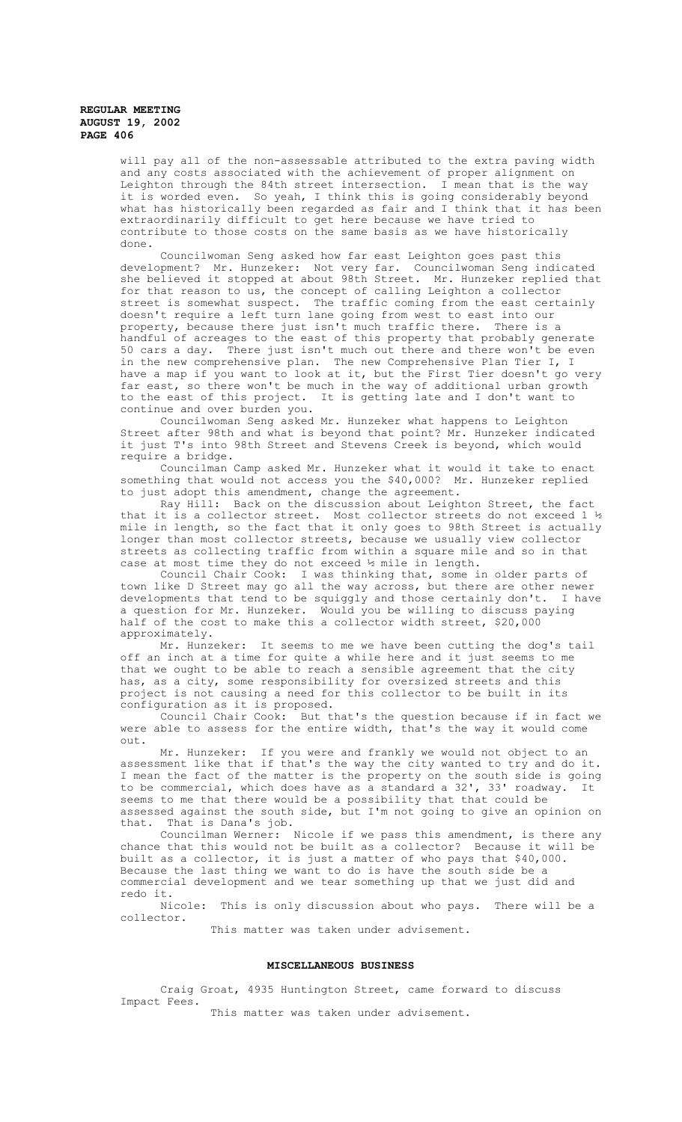will pay all of the non-assessable attributed to the extra paving width and any costs associated with the achievement of proper alignment on Leighton through the 84th street intersection. I mean that is the way it is worded even. So yeah, I think this is going considerably beyond what has historically been regarded as fair and I think that it has been extraordinarily difficult to get here because we have tried to contribute to those costs on the same basis as we have historically done.

Councilwoman Seng asked how far east Leighton goes past this development? Mr. Hunzeker: Not very far. Councilwoman Seng indicated she believed it stopped at about 98th Street. Mr. Hunzeker replied that for that reason to us, the concept of calling Leighton a collector street is somewhat suspect. The traffic coming from the east certainly doesn't require a left turn lane going from west to east into our property, because there just isn't much traffic there. There is a handful of acreages to the east of this property that probably generate 50 cars a day. There just isn't much out there and there won't be even in the new comprehensive plan. The new Comprehensive Plan Tier I, I have a map if you want to look at it, but the First Tier doesn't go very far east, so there won't be much in the way of additional urban growth to the east of this project. It is getting late and I don't want to continue and over burden you.

Councilwoman Seng asked Mr. Hunzeker what happens to Leighton Street after 98th and what is beyond that point? Mr. Hunzeker indicated it just T's into 98th Street and Stevens Creek is beyond, which would require a bridge.

Councilman Camp asked Mr. Hunzeker what it would it take to enact something that would not access you the \$40,000? Mr. Hunzeker replied to just adopt this amendment, change the agreement.

Ray Hill: Back on the discussion about Leighton Street, the fact that it is a collector street. Most collector streets do not exceed 1 ½ mile in length, so the fact that it only goes to 98th Street is actually longer than most collector streets, because we usually view collector streets as collecting traffic from within a square mile and so in that case at most time they do not exceed ½ mile in length.

Council Chair Cook: I was thinking that, some in older parts of town like D Street may go all the way across, but there are other newer<br>developments that tend to be squiggly and those certainly don't. I have developments that tend to be squiggly and those certainly don't. a question for Mr. Hunzeker. Would you be willing to discuss paying half of the cost to make this a collector width street, \$20,000 approximately.

Mr. Hunzeker: It seems to me we have been cutting the dog's tail off an inch at a time for quite a while here and it just seems to me that we ought to be able to reach a sensible agreement that the city has, as a city, some responsibility for oversized streets and this project is not causing a need for this collector to be built in its configuration as it is proposed.

Council Chair Cook: But that's the question because if in fact we were able to assess for the entire width, that's the way it would come out.

Mr. Hunzeker: If you were and frankly we would not object to an assessment like that if that's the way the city wanted to try and do it. I mean the fact of the matter is the property on the south side is going to be commercial, which does have as a standard a 32', 33' roadway. It seems to me that there would be a possibility that that could be assessed against the south side, but I'm not going to give an opinion on that. That is Dana's job.

Councilman Werner: Nicole if we pass this amendment, is there any chance that this would not be built as a collector? Because it will be built as a collector, it is just a matter of who pays that \$40,000. Because the last thing we want to do is have the south side be a commercial development and we tear something up that we just did and redo it.

Nicole: This is only discussion about who pays. There will be a collector.

This matter was taken under advisement.

## **MISCELLANEOUS BUSINESS**

Craig Groat, 4935 Huntington Street, came forward to discuss Impact Fees.

This matter was taken under advisement.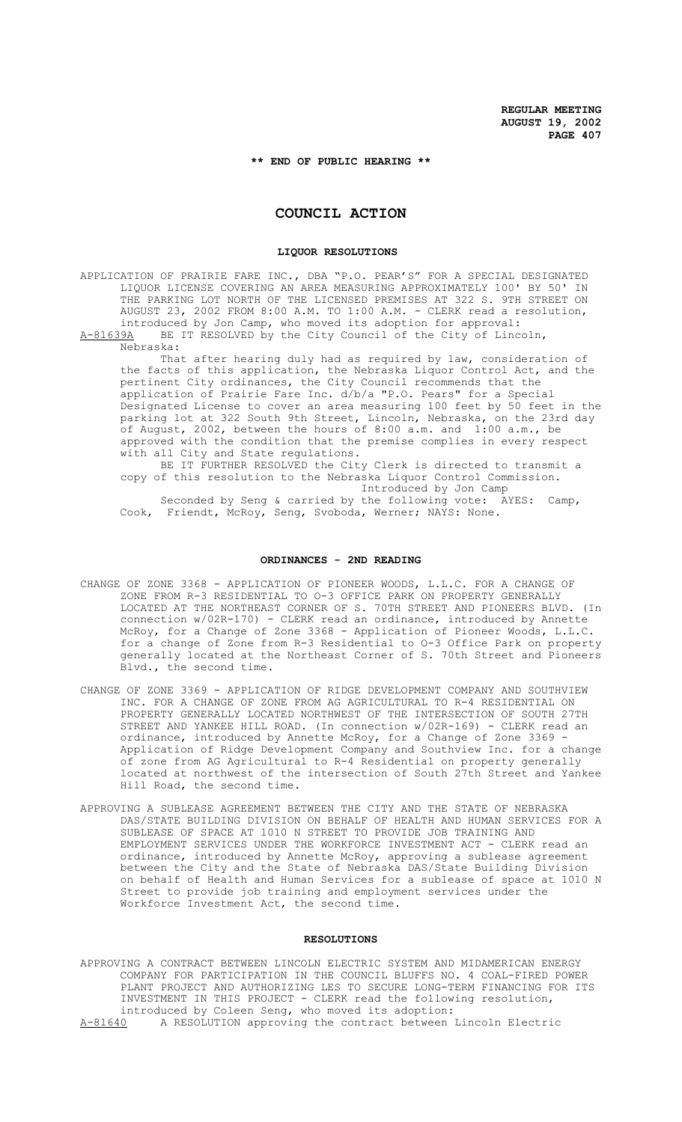## **\*\* END OF PUBLIC HEARING \*\***

# **COUNCIL ACTION**

#### **LIQUOR RESOLUTIONS**

APPLICATION OF PRAIRIE FARE INC., DBA "P.O. PEAR'S" FOR A SPECIAL DESIGNATED LIQUOR LICENSE COVERING AN AREA MEASURING APPROXIMATELY 100' BY 50' IN THE PARKING LOT NORTH OF THE LICENSED PREMISES AT 322 S. 9TH STREET ON AUGUST 23, 2002 FROM 8:00 A.M. TO 1:00 A.M. - CLERK read a resolution, introduced by Jon Camp, who moved its adoption for approval: A-81639A BE IT RESOLVED by the City Council of the City of Lincoln,

Nebraska:

That after hearing duly had as required by law, consideration of the facts of this application, the Nebraska Liquor Control Act, and the pertinent City ordinances, the City Council recommends that the application of Prairie Fare Inc. d/b/a "P.O. Pears" for a Special Designated License to cover an area measuring 100 feet by 50 feet in the parking lot at 322 South 9th Street, Lincoln, Nebraska, on the 23rd day of August, 2002, between the hours of 8:00 a.m. and 1:00 a.m., be approved with the condition that the premise complies in every respect with all City and State regulations.

BE IT FURTHER RESOLVED the City Clerk is directed to transmit a copy of this resolution to the Nebraska Liquor Control Commission. Introduced by Jon Camp

Seconded by Seng & carried by the following vote: AYES: Camp, Cook, Friendt, McRoy, Seng, Svoboda, Werner; NAYS: None.

#### **ORDINANCES - 2ND READING**

- CHANGE OF ZONE 3368 APPLICATION OF PIONEER WOODS, L.L.C. FOR A CHANGE OF ZONE FROM R-3 RESIDENTIAL TO O-3 OFFICE PARK ON PROPERTY GENERALLY LOCATED AT THE NORTHEAST CORNER OF S. 70TH STREET AND PIONEERS BLVD. (In connection  $w/02R-170$ ) - CLERK read an ordinance, introduced by Annette McRoy, for a Change of Zone 3368 - Application of Pioneer Woods, L.L.C. for a change of Zone from R-3 Residential to O-3 Office Park on property generally located at the Northeast Corner of S. 70th Street and Pioneers Blvd., the second time.
- CHANGE OF ZONE 3369 APPLICATION OF RIDGE DEVELOPMENT COMPANY AND SOUTHVIEW INC. FOR A CHANGE OF ZONE FROM AG AGRICULTURAL TO R-4 RESIDENTIAL ON PROPERTY GENERALLY LOCATED NORTHWEST OF THE INTERSECTION OF SOUTH 27TH STREET AND YANKEE HILL ROAD. (In connection w/02R-169) - CLERK read an ordinance, introduced by Annette McRoy, for a Change of Zone 3369 - Application of Ridge Development Company and Southview Inc. for a change of zone from AG Agricultural to R-4 Residential on property generally located at northwest of the intersection of South 27th Street and Yankee Hill Road, the second time.
- APPROVING A SUBLEASE AGREEMENT BETWEEN THE CITY AND THE STATE OF NEBRASKA DAS/STATE BUILDING DIVISION ON BEHALF OF HEALTH AND HUMAN SERVICES FOR A SUBLEASE OF SPACE AT 1010 N STREET TO PROVIDE JOB TRAINING AND EMPLOYMENT SERVICES UNDER THE WORKFORCE INVESTMENT ACT - CLERK read an ordinance, introduced by Annette McRoy, approving a sublease agreement between the City and the State of Nebraska DAS/State Building Division on behalf of Health and Human Services for a sublease of space at 1010 N Street to provide job training and employment services under the Workforce Investment Act, the second time.

## **RESOLUTIONS**

APPROVING A CONTRACT BETWEEN LINCOLN ELECTRIC SYSTEM AND MIDAMERICAN ENERGY COMPANY FOR PARTICIPATION IN THE COUNCIL BLUFFS NO. 4 COAL-FIRED POWER PLANT PROJECT AND AUTHORIZING LES TO SECURE LONG-TERM FINANCING FOR ITS INVESTMENT IN THIS PROJECT - CLERK read the following resolution, introduced by Coleen Seng, who moved its adoption:<br>A-81640 A RESOLUTION approving the contract between A RESOLUTION approving the contract between Lincoln Electric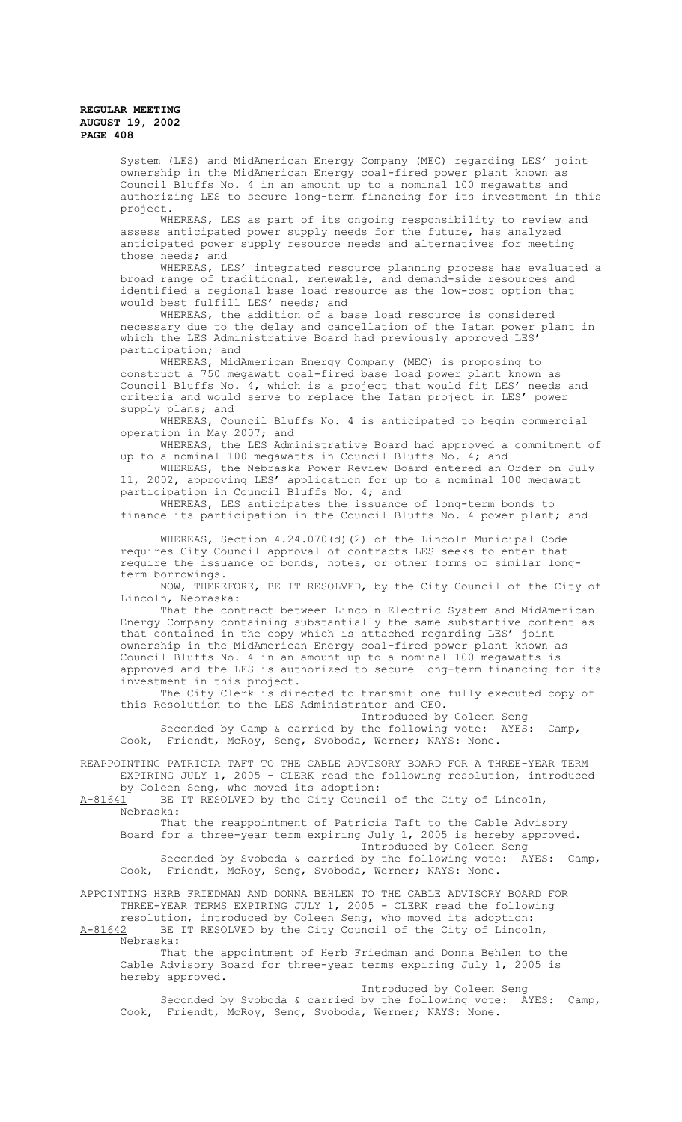System (LES) and MidAmerican Energy Company (MEC) regarding LES' joint ownership in the MidAmerican Energy coal-fired power plant known as Council Bluffs No. 4 in an amount up to a nominal 100 megawatts and authorizing LES to secure long-term financing for its investment in this project.

WHEREAS, LES as part of its ongoing responsibility to review and assess anticipated power supply needs for the future, has analyzed anticipated power supply resource needs and alternatives for meeting those needs; and

WHEREAS, LES' integrated resource planning process has evaluated a broad range of traditional, renewable, and demand-side resources and identified a regional base load resource as the low-cost option that would best fulfill LES' needs; and

WHEREAS, the addition of a base load resource is considered necessary due to the delay and cancellation of the Iatan power plant in which the LES Administrative Board had previously approved LES' participation; and

WHEREAS, MidAmerican Energy Company (MEC) is proposing to construct a 750 megawatt coal-fired base load power plant known as Council Bluffs No. 4, which is a project that would fit LES' needs and criteria and would serve to replace the Iatan project in LES' power supply plans; and

WHEREAS, Council Bluffs No. 4 is anticipated to begin commercial operation in May 2007; and

WHEREAS, the LES Administrative Board had approved a commitment of up to a nominal 100 megawatts in Council Bluffs No. 4; and

WHEREAS, the Nebraska Power Review Board entered an Order on July 11, 2002, approving LES' application for up to a nominal 100 megawatt participation in Council Bluffs No. 4; and

WHEREAS, LES anticipates the issuance of long-term bonds to finance its participation in the Council Bluffs No. 4 power plant; and

WHEREAS, Section 4.24.070(d)(2) of the Lincoln Municipal Code requires City Council approval of contracts LES seeks to enter that require the issuance of bonds, notes, or other forms of similar longterm borrowings.

NOW, THEREFORE, BE IT RESOLVED, by the City Council of the City of Lincoln, Nebraska:

That the contract between Lincoln Electric System and MidAmerican Energy Company containing substantially the same substantive content as that contained in the copy which is attached regarding LES' joint ownership in the MidAmerican Energy coal-fired power plant known as Council Bluffs No. 4 in an amount up to a nominal 100 megawatts is approved and the LES is authorized to secure long-term financing for its investment in this project.

The City Clerk is directed to transmit one fully executed copy of this Resolution to the LES Administrator and CEO.

Introduced by Coleen Seng Seconded by Camp & carried by the following vote: AYES: Camp, Cook, Friendt, McRoy, Seng, Svoboda, Werner; NAYS: None.

REAPPOINTING PATRICIA TAFT TO THE CABLE ADVISORY BOARD FOR A THREE-YEAR TERM EXPIRING JULY 1, 2005 - CLERK read the following resolution, introduced by Coleen Seng, who moved its adoption:

A-81641 BE IT RESOLVED by the City Council of the City of Lincoln, Nebraska:

That the reappointment of Patricia Taft to the Cable Advisory Board for a three-year term expiring July 1, 2005 is hereby approved. Introduced by Coleen Seng Seconded by Svoboda & carried by the following vote: AYES: Camp, Cook, Friendt, McRoy, Seng, Svoboda, Werner; NAYS: None.

APPOINTING HERB FRIEDMAN AND DONNA BEHLEN TO THE CABLE ADVISORY BOARD FOR THREE-YEAR TERMS EXPIRING JULY 1, 2005 - CLERK read the following

resolution, introduced by Coleen Seng, who moved its adoption: A-81642 BE IT RESOLVED by the City Council of the City of Lincoln, Nebraska:

That the appointment of Herb Friedman and Donna Behlen to the Cable Advisory Board for three-year terms expiring July 1, 2005 is hereby approved.

Introduced by Coleen Seng Seconded by Svoboda & carried by the following vote: AYES: Camp, Cook, Friendt, McRoy, Seng, Svoboda, Werner; NAYS: None.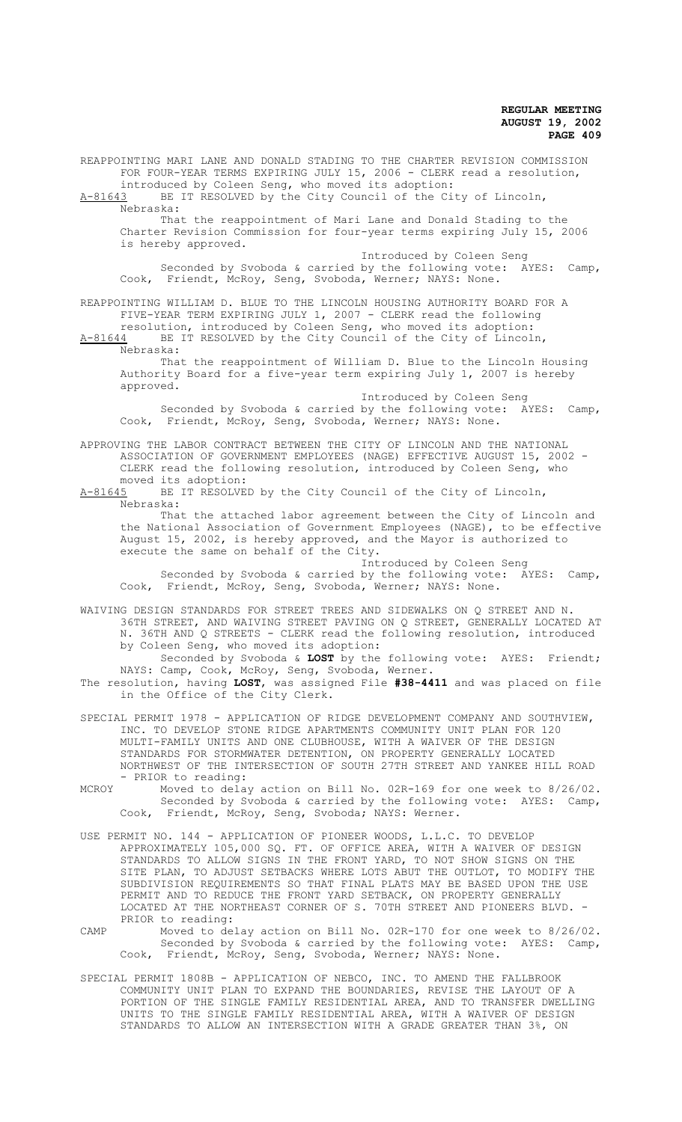REAPPOINTING MARI LANE AND DONALD STADING TO THE CHARTER REVISION COMMISSION FOR FOUR-YEAR TERMS EXPIRING JULY 15, 2006 - CLERK read a resolution, introduced by Coleen Seng, who moved its adoption: A-81643 BE IT RESOLVED by the City Council of the City of Lincoln, Nebraska: That the reappointment of Mari Lane and Donald Stading to the Charter Revision Commission for four-year terms expiring July 15, 2006 is hereby approved. Introduced by Coleen Seng Seconded by Svoboda & carried by the following vote: AYES: Camp, Cook, Friendt, McRoy, Seng, Svoboda, Werner; NAYS: None. REAPPOINTING WILLIAM D. BLUE TO THE LINCOLN HOUSING AUTHORITY BOARD FOR A FIVE-YEAR TERM EXPIRING JULY 1, 2007 - CLERK read the following resolution, introduced by Coleen Seng, who moved its adoption: A-81644 BE IT RESOLVED by the City Council of the City of Lincoln, Nebraska: That the reappointment of William D. Blue to the Lincoln Housing Authority Board for a five-year term expiring July 1, 2007 is hereby approved. Introduced by Coleen Seng Seconded by Svoboda & carried by the following vote: AYES: Camp, Cook, Friendt, McRoy, Seng, Svoboda, Werner; NAYS: None. APPROVING THE LABOR CONTRACT BETWEEN THE CITY OF LINCOLN AND THE NATIONAL ASSOCIATION OF GOVERNMENT EMPLOYEES (NAGE) EFFECTIVE AUGUST 15, 2002 - CLERK read the following resolution, introduced by Coleen Seng, who moved its adoption:<br>A-81645 BE IT RESOLVE BE IT RESOLVED by the City Council of the City of Lincoln, Nebraska: That the attached labor agreement between the City of Lincoln and the National Association of Government Employees (NAGE), to be effective August 15, 2002, is hereby approved, and the Mayor is authorized to execute the same on behalf of the City. Introduced by Coleen Seng Seconded by Svoboda & carried by the following vote: AYES: Camp, Cook, Friendt, McRoy, Seng, Svoboda, Werner; NAYS: None. WAIVING DESIGN STANDARDS FOR STREET TREES AND SIDEWALKS ON Q STREET AND N. 36TH STREET, AND WAIVING STREET PAVING ON Q STREET, GENERALLY LOCATED AT N. 36TH AND Q STREETS - CLERK read the following resolution, introduced by Coleen Seng, who moved its adoption: Seconded by Svoboda & **LOST** by the following vote: AYES: Friendt; NAYS: Camp, Cook, McRoy, Seng, Svoboda, Werner. The resolution, having **LOST**, was assigned File **#38-4411** and was placed on file in the Office of the City Clerk. SPECIAL PERMIT 1978 - APPLICATION OF RIDGE DEVELOPMENT COMPANY AND SOUTHVIEW, INC. TO DEVELOP STONE RIDGE APARTMENTS COMMUNITY UNIT PLAN FOR 120 MULTI-FAMILY UNITS AND ONE CLUBHOUSE, WITH A WAIVER OF THE DESIGN STANDARDS FOR STORMWATER DETENTION, ON PROPERTY GENERALLY LOCATED NORTHWEST OF THE INTERSECTION OF SOUTH 27TH STREET AND YANKEE HILL ROAD - PRIOR to reading: MCROY Moved to delay action on Bill No. 02R-169 for one week to 8/26/02. Seconded by Svoboda & carried by the following vote: AYES: Camp, Cook, Friendt, McRoy, Seng, Svoboda; NAYS: Werner. USE PERMIT NO. 144 - APPLICATION OF PIONEER WOODS, L.L.C. TO DEVELOP APPROXIMATELY 105,000 SQ. FT. OF OFFICE AREA, WITH A WAIVER OF DESIGN STANDARDS TO ALLOW SIGNS IN THE FRONT YARD, TO NOT SHOW SIGNS ON THE SITE PLAN, TO ADJUST SETBACKS WHERE LOTS ABUT THE OUTLOT, TO MODIFY THE SUBDIVISION REQUIREMENTS SO THAT FINAL PLATS MAY BE BASED UPON THE USE PERMIT AND TO REDUCE THE FRONT YARD SETBACK, ON PROPERTY GENERALLY LOCATED AT THE NORTHEAST CORNER OF S. 70TH STREET AND PIONEERS BLVD. -PRIOR to reading: CAMP Moved to delay action on Bill No. 02R-170 for one week to 8/26/02. Seconded by Svoboda & carried by the following vote: AYES: Camp, Cook, Friendt, McRoy, Seng, Svoboda, Werner; NAYS: None.

SPECIAL PERMIT 1808B - APPLICATION OF NEBCO, INC. TO AMEND THE FALLBROOK COMMUNITY UNIT PLAN TO EXPAND THE BOUNDARIES, REVISE THE LAYOUT OF A PORTION OF THE SINGLE FAMILY RESIDENTIAL AREA, AND TO TRANSFER DWELLING UNITS TO THE SINGLE FAMILY RESIDENTIAL AREA, WITH A WAIVER OF DESIGN STANDARDS TO ALLOW AN INTERSECTION WITH A GRADE GREATER THAN 3%, ON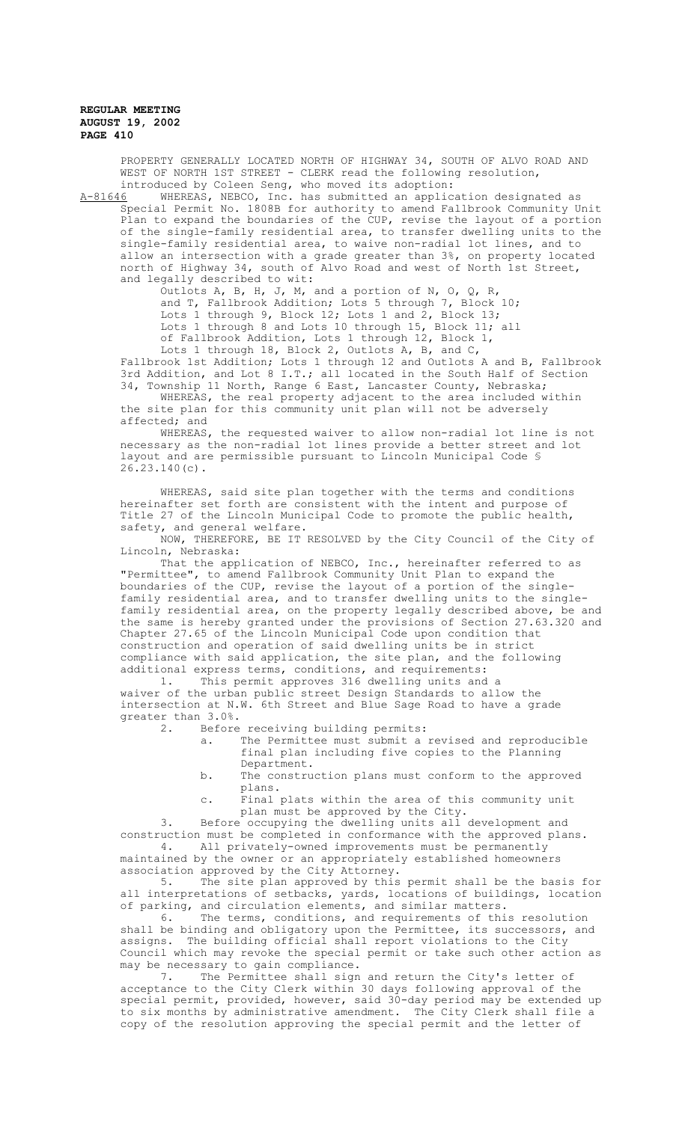PROPERTY GENERALLY LOCATED NORTH OF HIGHWAY 34, SOUTH OF ALVO ROAD AND WEST OF NORTH 1ST STREET - CLERK read the following resolution, introduced by Coleen Seng, who moved its adoption:<br>A-81646 WHEREAS, NEBCO, Inc. has submitted an applic

WHEREAS, NEBCO, Inc. has submitted an application designated as Special Permit No. 1808B for authority to amend Fallbrook Community Unit Plan to expand the boundaries of the CUP, revise the layout of a portion of the single-family residential area, to transfer dwelling units to the single-family residential area, to waive non-radial lot lines, and to allow an intersection with a grade greater than 3%, on property located north of Highway 34, south of Alvo Road and west of North 1st Street, and legally described to wit:

> Outlots A, B, H, J, M, and a portion of N, O, Q, R, and T, Fallbrook Addition; Lots 5 through 7, Block 10; Lots 1 through 9, Block 12; Lots 1 and 2, Block 13; Lots 1 through 8 and Lots 10 through 15, Block 11; all of Fallbrook Addition, Lots 1 through 12, Block 1, Lots 1 through 18, Block 2, Outlots A, B, and C,

Fallbrook 1st Addition; Lots 1 through 12 and Outlots A and B, Fallbrook 3rd Addition, and Lot 8 I.T.; all located in the South Half of Section 34, Township 11 North, Range 6 East, Lancaster County, Nebraska;

WHEREAS, the real property adjacent to the area included within the site plan for this community unit plan will not be adversely affected; and

WHEREAS, the requested waiver to allow non-radial lot line is not necessary as the non-radial lot lines provide a better street and lot layout and are permissible pursuant to Lincoln Municipal Code § 26.23.140(c).

WHEREAS, said site plan together with the terms and conditions hereinafter set forth are consistent with the intent and purpose of Title 27 of the Lincoln Municipal Code to promote the public health, safety, and general welfare.

NOW, THEREFORE, BE IT RESOLVED by the City Council of the City of Lincoln, Nebraska:

That the application of NEBCO, Inc., hereinafter referred to as "Permittee", to amend Fallbrook Community Unit Plan to expand the boundaries of the CUP, revise the layout of a portion of the singlefamily residential area, and to transfer dwelling units to the singlefamily residential area, on the property legally described above, be and the same is hereby granted under the provisions of Section 27.63.320 and Chapter 27.65 of the Lincoln Municipal Code upon condition that construction and operation of said dwelling units be in strict compliance with said application, the site plan, and the following additional express terms, conditions, and requirements:

1. This permit approves 316 dwelling units and a waiver of the urban public street Design Standards to allow the intersection at N.W. 6th Street and Blue Sage Road to have a grade greater than  $3.0\%$ .<br>2. Before

Before receiving building permits:<br>a. The Permittee must submit a

- The Permittee must submit a revised and reproducible final plan including five copies to the Planning Department.
- b. The construction plans must conform to the approved plans.
- c. Final plats within the area of this community unit plan must be approved by the City.

3. Before occupying the dwelling units all development and construction must be completed in conformance with the approved plans. 4. All privately-owned improvements must be permanently maintained by the owner or an appropriately established homeowners association approved by the City Attorney.<br>5. The site plan approved by this

The site plan approved by this permit shall be the basis for all interpretations of setbacks, yards, locations of buildings, location of parking, and circulation elements, and similar matters.

6. The terms, conditions, and requirements of this resolution shall be binding and obligatory upon the Permittee, its successors, and assigns. The building official shall report violations to the City Council which may revoke the special permit or take such other action as may be necessary to gain compliance.

7. The Permittee shall sign and return the City's letter of acceptance to the City Clerk within 30 days following approval of the special permit, provided, however, said 30-day period may be extended up to six months by administrative amendment. The City Clerk shall file a copy of the resolution approving the special permit and the letter of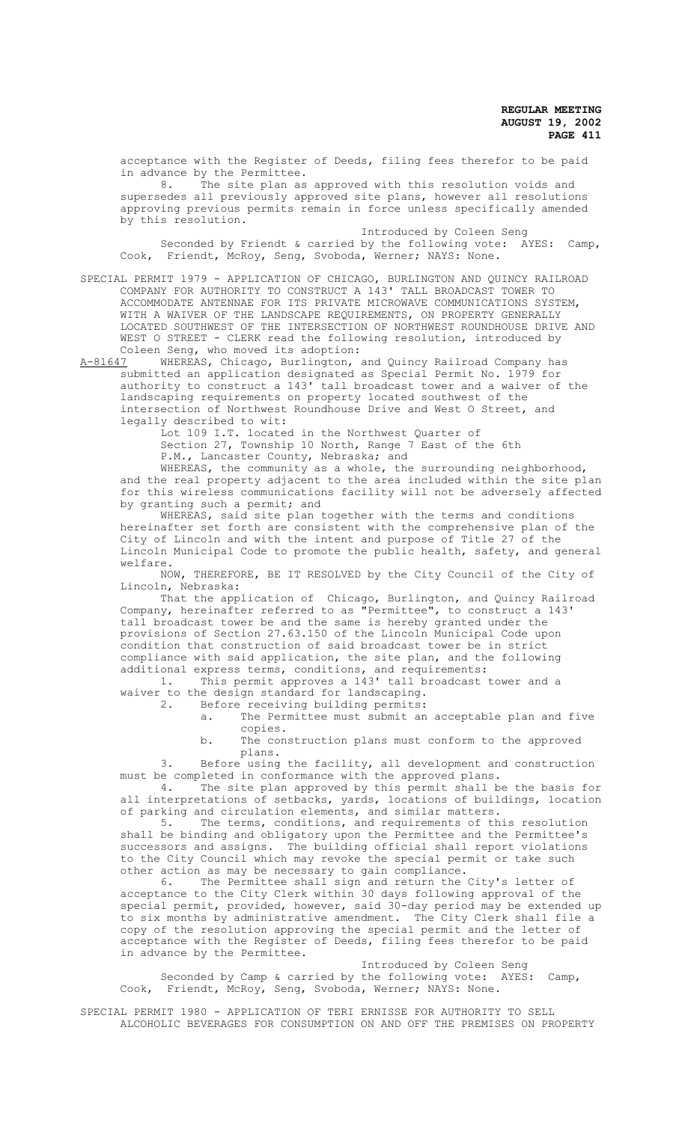acceptance with the Register of Deeds, filing fees therefor to be paid in advance by the Permittee.

8. The site plan as approved with this resolution voids and supersedes all previously approved site plans, however all resolutions approving previous permits remain in force unless specifically amended by this resolution.

Introduced by Coleen Seng Seconded by Friendt & carried by the following vote: AYES: Camp, Cook, Friendt, McRoy, Seng, Svoboda, Werner; NAYS: None.

SPECIAL PERMIT 1979 - APPLICATION OF CHICAGO, BURLINGTON AND QUINCY RAILROAD COMPANY FOR AUTHORITY TO CONSTRUCT A 143' TALL BROADCAST TOWER TO ACCOMMODATE ANTENNAE FOR ITS PRIVATE MICROWAVE COMMUNICATIONS SYSTEM, WITH A WAIVER OF THE LANDSCAPE REQUIREMENTS, ON PROPERTY GENERALLY LOCATED SOUTHWEST OF THE INTERSECTION OF NORTHWEST ROUNDHOUSE DRIVE AND WEST O STREET - CLERK read the following resolution, introduced by Coleen Seng, who moved its adoption:<br>A-81647 WHEREAS, Chicago, Burlington,

WHEREAS, Chicago, Burlington, and Quincy Railroad Company has submitted an application designated as Special Permit No. 1979 for authority to construct a 143' tall broadcast tower and a waiver of the landscaping requirements on property located southwest of the intersection of Northwest Roundhouse Drive and West O Street, and legally described to wit:

Lot 109 I.T. located in the Northwest Quarter of Section 27, Township 10 North, Range 7 East of the 6th P.M., Lancaster County, Nebraska; and

WHEREAS, the community as a whole, the surrounding neighborhood, and the real property adjacent to the area included within the site plan for this wireless communications facility will not be adversely affected by granting such a permit; and

WHEREAS, said site plan together with the terms and conditions hereinafter set forth are consistent with the comprehensive plan of the City of Lincoln and with the intent and purpose of Title 27 of the Lincoln Municipal Code to promote the public health, safety, and general welfare.

NOW, THEREFORE, BE IT RESOLVED by the City Council of the City of Lincoln, Nebraska:

That the application of Chicago, Burlington, and Quincy Railroad Company, hereinafter referred to as "Permittee", to construct a 143' tall broadcast tower be and the same is hereby granted under the provisions of Section 27.63.150 of the Lincoln Municipal Code upon condition that construction of said broadcast tower be in strict compliance with said application, the site plan, and the following additional express terms, conditions, and requirements: 1. This permit approves a 143' tall broadcast tower and a

waiver to the design standard for landscaping.<br>2 Before receiving building permits:

Before receiving building permits:

- a. The Permittee must submit an acceptable plan and five copies.
- b. The construction plans must conform to the approved plans.

3. Before using the facility, all development and construction must be completed in conformance with the approved plans.

4. The site plan approved by this permit shall be the basis for all interpretations of setbacks, yards, locations of buildings, location of parking and circulation elements, and similar matters.<br>5. The terms, conditions, and requirements of th

The terms, conditions, and requirements of this resolution shall be binding and obligatory upon the Permittee and the Permittee's successors and assigns. The building official shall report violations to the City Council which may revoke the special permit or take such other action as may be necessary to gain compliance.<br>6. The Permittee shall sign and return the

The Permittee shall sign and return the City's letter of acceptance to the City Clerk within 30 days following approval of the special permit, provided, however, said 30-day period may be extended up to six months by administrative amendment. The City Clerk shall file a copy of the resolution approving the special permit and the letter of acceptance with the Register of Deeds, filing fees therefor to be paid in advance by the Permittee.

Introduced by Coleen Seng Seconded by Camp & carried by the following vote: AYES: Camp, Cook, Friendt, McRoy, Seng, Svoboda, Werner; NAYS: None.

SPECIAL PERMIT 1980 - APPLICATION OF TERI ERNISSE FOR AUTHORITY TO SELL ALCOHOLIC BEVERAGES FOR CONSUMPTION ON AND OFF THE PREMISES ON PROPERTY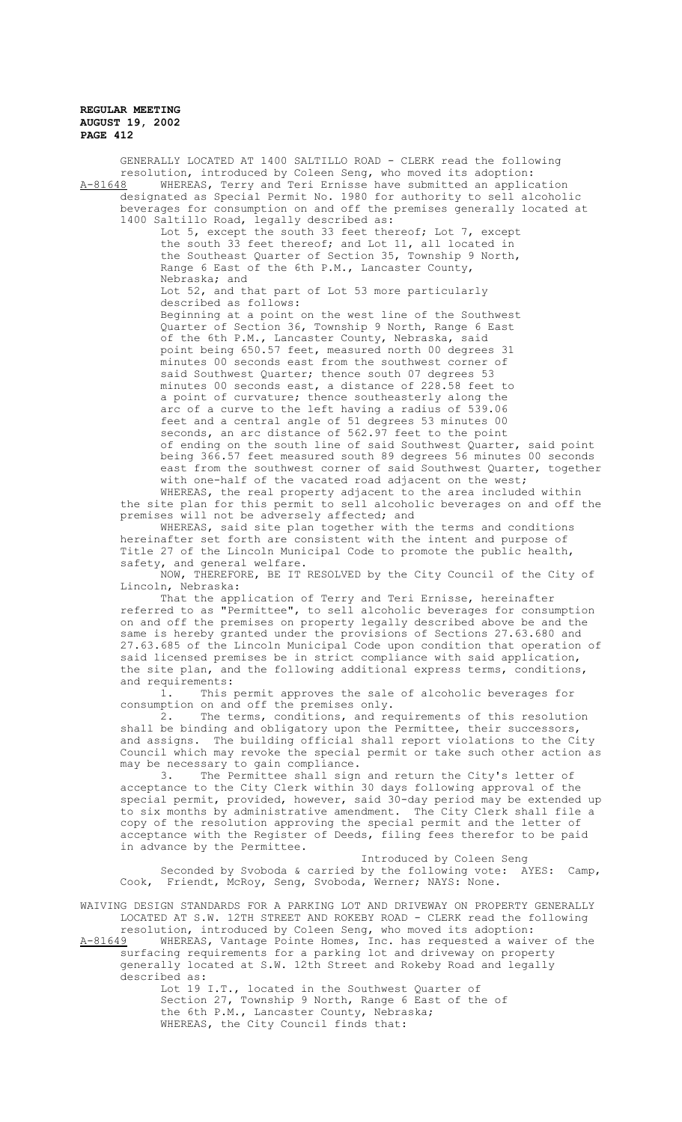GENERALLY LOCATED AT 1400 SALTILLO ROAD - CLERK read the following resolution, introduced by Coleen Seng, who moved its adoption: A-81648 MHEREAS, Terry and Teri Ernisse have submitted an application designated as Special Permit No. 1980 for authority to sell alcoholic beverages for consumption on and off the premises generally located at 1400 Saltillo Road, legally described as: Lot 5, except the south 33 feet thereof; Lot 7, except the south 33 feet thereof; and Lot 11, all located in the Southeast Quarter of Section 35, Township 9 North, Range 6 East of the 6th P.M., Lancaster County, Nebraska; and Lot 52, and that part of Lot 53 more particularly described as follows: Beginning at a point on the west line of the Southwest Quarter of Section 36, Township 9 North, Range 6 East of the 6th P.M., Lancaster County, Nebraska, said point being 650.57 feet, measured north 00 degrees 31 minutes 00 seconds east from the southwest corner of said Southwest Quarter; thence south 07 degrees 53 minutes 00 seconds east, a distance of 228.58 feet to a point of curvature; thence southeasterly along the arc of a curve to the left having a radius of 539.06 feet and a central angle of 51 degrees 53 minutes 00 seconds, an arc distance of 562.97 feet to the point of ending on the south line of said Southwest Quarter, said point being 366.57 feet measured south 89 degrees 56 minutes 00 seconds east from the southwest corner of said Southwest Quarter, together with one-half of the vacated road adjacent on the west; WHEREAS, the real property adjacent to the area included within the site plan for this permit to sell alcoholic beverages on and off the premises will not be adversely affected; and

WHEREAS, said site plan together with the terms and conditions hereinafter set forth are consistent with the intent and purpose of Title 27 of the Lincoln Municipal Code to promote the public health, safety, and general welfare.

NOW, THEREFORE, BE IT RESOLVED by the City Council of the City of Lincoln, Nebraska:

That the application of Terry and Teri Ernisse, hereinafter referred to as "Permittee", to sell alcoholic beverages for consumption on and off the premises on property legally described above be and the same is hereby granted under the provisions of Sections 27.63.680 and 27.63.685 of the Lincoln Municipal Code upon condition that operation of said licensed premises be in strict compliance with said application, the site plan, and the following additional express terms, conditions, and requirements:

1. This permit approves the sale of alcoholic beverages for consumption on and off the premises only.

2. The terms, conditions, and requirements of this resolution shall be binding and obligatory upon the Permittee, their successors, and assigns. The building official shall report violations to the City Council which may revoke the special permit or take such other action as may be necessary to gain compliance.

3. The Permittee shall sign and return the City's letter of acceptance to the City Clerk within 30 days following approval of the special permit, provided, however, said 30-day period may be extended up to six months by administrative amendment. The City Clerk shall file a copy of the resolution approving the special permit and the letter of acceptance with the Register of Deeds, filing fees therefor to be paid in advance by the Permittee.

Introduced by Coleen Seng Seconded by Svoboda & carried by the following vote: AYES: Camp, Cook, Friendt, McRoy, Seng, Svoboda, Werner; NAYS: None.

WAIVING DESIGN STANDARDS FOR A PARKING LOT AND DRIVEWAY ON PROPERTY GENERALLY LOCATED AT S.W. 12TH STREET AND ROKEBY ROAD - CLERK read the following resolution, introduced by Coleen Seng, who moved its adoption:

A-81649 WHEREAS, Vantage Pointe Homes, Inc. has requested a waiver of the surfacing requirements for a parking lot and driveway on property generally located at S.W. 12th Street and Rokeby Road and legally described as:

> Lot 19 I.T., located in the Southwest Quarter of Section 27, Township 9 North, Range 6 East of the of the 6th P.M., Lancaster County, Nebraska; WHEREAS, the City Council finds that: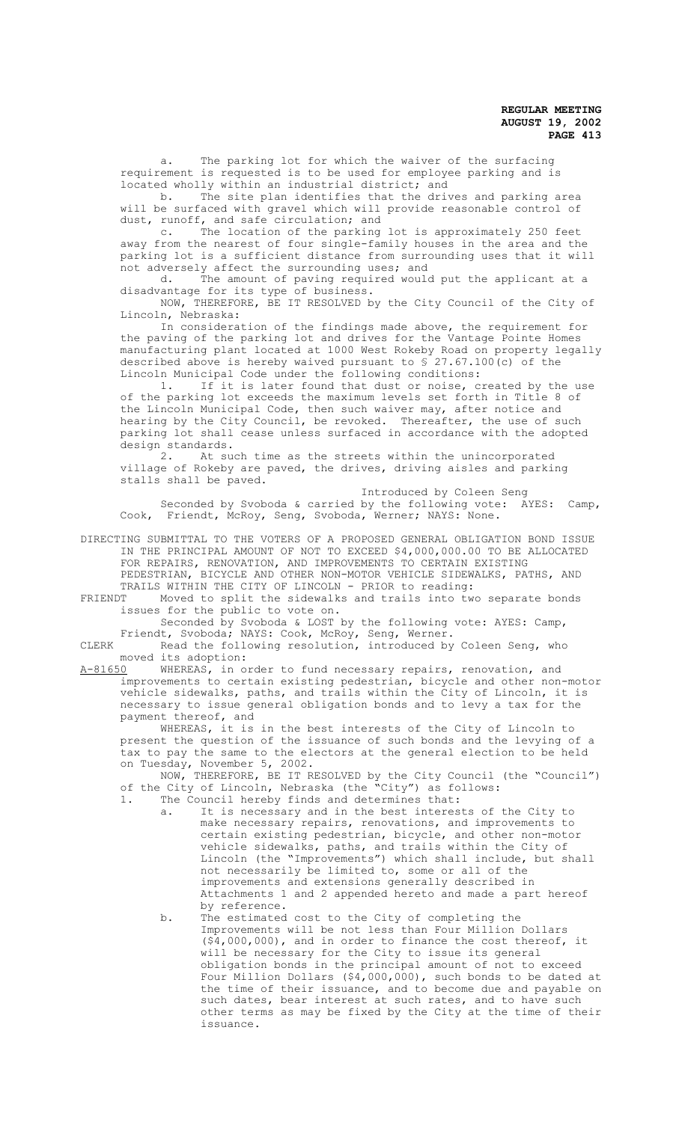a. The parking lot for which the waiver of the surfacing requirement is requested is to be used for employee parking and is located wholly within an industrial district; and

b. The site plan identifies that the drives and parking area will be surfaced with gravel which will provide reasonable control of dust, runoff, and safe circulation; and

c. The location of the parking lot is approximately 250 feet away from the nearest of four single-family houses in the area and the parking lot is a sufficient distance from surrounding uses that it will not adversely affect the surrounding uses; and

d. The amount of paving required would put the applicant at a disadvantage for its type of business.

NOW, THEREFORE, BE IT RESOLVED by the City Council of the City of Lincoln, Nebraska:

In consideration of the findings made above, the requirement for the paving of the parking lot and drives for the Vantage Pointe Homes manufacturing plant located at 1000 West Rokeby Road on property legally described above is hereby waived pursuant to § 27.67.100(c) of the Lincoln Municipal Code under the following conditions:

1. If it is later found that dust or noise, created by the use of the parking lot exceeds the maximum levels set forth in Title 8 of the Lincoln Municipal Code, then such waiver may, after notice and hearing by the City Council, be revoked. Thereafter, the use of such parking lot shall cease unless surfaced in accordance with the adopted design standards.<br>2. At su

At such time as the streets within the unincorporated village of Rokeby are paved, the drives, driving aisles and parking stalls shall be paved.

Introduced by Coleen Seng Seconded by Svoboda & carried by the following vote: AYES: Camp, Cook, Friendt, McRoy, Seng, Svoboda, Werner; NAYS: None.

DIRECTING SUBMITTAL TO THE VOTERS OF A PROPOSED GENERAL OBLIGATION BOND ISSUE IN THE PRINCIPAL AMOUNT OF NOT TO EXCEED \$4,000,000.00 TO BE ALLOCATED FOR REPAIRS, RENOVATION, AND IMPROVEMENTS TO CERTAIN EXISTING PEDESTRIAN, BICYCLE AND OTHER NON-MOTOR VEHICLE SIDEWALKS, PATHS, AND

TRAILS WITHIN THE CITY OF LINCOLN - PRIOR to reading:<br>FRIENDT Moved to split the sidewalks and trails into two Moved to split the sidewalks and trails into two separate bonds issues for the public to vote on.

Seconded by Svoboda & LOST by the following vote: AYES: Camp, Friendt, Svoboda; NAYS: Cook, McRoy, Seng, Werner.

CLERK Read the following resolution, introduced by Coleen Seng, who moved its adoption:<br>A-81650 WHEREAS, in o

WHEREAS, in order to fund necessary repairs, renovation, and improvements to certain existing pedestrian, bicycle and other non-motor vehicle sidewalks, paths, and trails within the City of Lincoln, it is necessary to issue general obligation bonds and to levy a tax for the payment thereof, and

WHEREAS, it is in the best interests of the City of Lincoln to present the question of the issuance of such bonds and the levying of a tax to pay the same to the electors at the general election to be held on Tuesday, November 5, 2002.

NOW, THEREFORE, BE IT RESOLVED by the City Council (the "Council") of the City of Lincoln, Nebraska (the "City") as follows:

- 1. The Council hereby finds and determines that:
	- a. It is necessary and in the best interests of the City to make necessary repairs, renovations, and improvements to certain existing pedestrian, bicycle, and other non-motor vehicle sidewalks, paths, and trails within the City of Lincoln (the "Improvements") which shall include, but shall not necessarily be limited to, some or all of the improvements and extensions generally described in Attachments 1 and 2 appended hereto and made a part hereof by reference.
	- b. The estimated cost to the City of completing the Improvements will be not less than Four Million Dollars (\$4,000,000), and in order to finance the cost thereof, it will be necessary for the City to issue its general obligation bonds in the principal amount of not to exceed Four Million Dollars (\$4,000,000), such bonds to be dated at the time of their issuance, and to become due and payable on such dates, bear interest at such rates, and to have such other terms as may be fixed by the City at the time of their issuance.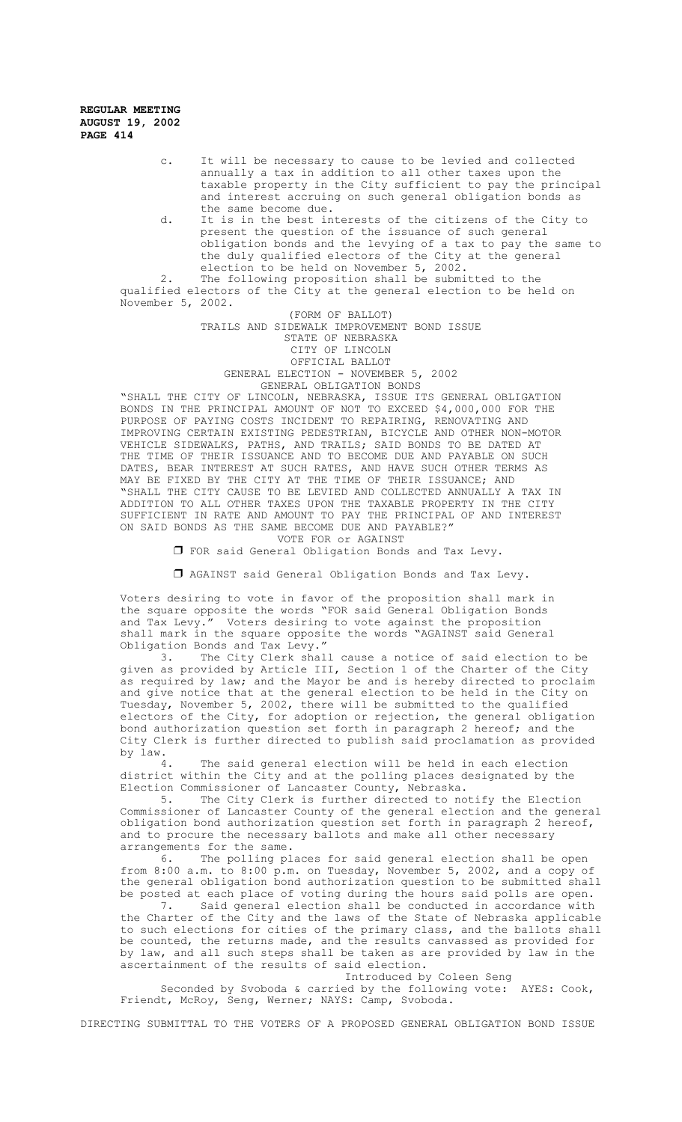- c. It will be necessary to cause to be levied and collected annually a tax in addition to all other taxes upon the taxable property in the City sufficient to pay the principal and interest accruing on such general obligation bonds as the same become due.
- d. It is in the best interests of the citizens of the City to present the question of the issuance of such general obligation bonds and the levying of a tax to pay the same to the duly qualified electors of the City at the general election to be held on November 5, 2002.

2. The following proposition shall be submitted to the qualified electors of the City at the general election to be held on November 5, 2002.

(FORM OF BALLOT)

TRAILS AND SIDEWALK IMPROVEMENT BOND ISSUE

STATE OF NEBRASKA

CITY OF LINCOLN

OFFICIAL BALLOT GENERAL ELECTION - NOVEMBER 5, 2002 GENERAL OBLIGATION BONDS

"SHALL THE CITY OF LINCOLN, NEBRASKA, ISSUE ITS GENERAL OBLIGATION BONDS IN THE PRINCIPAL AMOUNT OF NOT TO EXCEED \$4,000,000 FOR THE PURPOSE OF PAYING COSTS INCIDENT TO REPAIRING, RENOVATING AND IMPROVING CERTAIN EXISTING PEDESTRIAN, BICYCLE AND OTHER NON-MOTOR VEHICLE SIDEWALKS, PATHS, AND TRAILS; SAID BONDS TO BE DATED AT THE TIME OF THEIR ISSUANCE AND TO BECOME DUE AND PAYABLE ON SUCH DATES, BEAR INTEREST AT SUCH RATES, AND HAVE SUCH OTHER TERMS AS MAY BE FIXED BY THE CITY AT THE TIME OF THEIR ISSUANCE; AND "SHALL THE CITY CAUSE TO BE LEVIED AND COLLECTED ANNUALLY A TAX IN ADDITION TO ALL OTHER TAXES UPON THE TAXABLE PROPERTY IN THE CITY SUFFICIENT IN RATE AND AMOUNT TO PAY THE PRINCIPAL OF AND INTEREST ON SAID BONDS AS THE SAME BECOME DUE AND PAYABLE?" VOTE FOR or AGAINST

 $\Box$  FOR said General Obligation Bonds and Tax Levy.

 $\Box$  AGAINST said General Obligation Bonds and Tax Levy.

Voters desiring to vote in favor of the proposition shall mark in the square opposite the words "FOR said General Obligation Bonds and Tax Levy." Voters desiring to vote against the proposition shall mark in the square opposite the words "AGAINST said General Obligation Bonds and Tax Levy."<br>3. The City Clerk shall

The City Clerk shall cause a notice of said election to be given as provided by Article III, Section 1 of the Charter of the City as required by law; and the Mayor be and is hereby directed to proclaim and give notice that at the general election to be held in the City on Tuesday, November 5, 2002, there will be submitted to the qualified electors of the City, for adoption or rejection, the general obligation bond authorization question set forth in paragraph 2 hereof; and the City Clerk is further directed to publish said proclamation as provided by law.

4. The said general election will be held in each election district within the City and at the polling places designated by the Election Commissioner of Lancaster County, Nebraska.

5. The City Clerk is further directed to notify the Election Commissioner of Lancaster County of the general election and the general obligation bond authorization question set forth in paragraph 2 hereof, and to procure the necessary ballots and make all other necessary arrangements for the same.

6. The polling places for said general election shall be open from 8:00 a.m. to 8:00 p.m. on Tuesday, November 5, 2002, and a copy of the general obligation bond authorization question to be submitted shall be posted at each place of voting during the hours said polls are open.

7. Said general election shall be conducted in accordance with the Charter of the City and the laws of the State of Nebraska applicable to such elections for cities of the primary class, and the ballots shall be counted, the returns made, and the results canvassed as provided for by law, and all such steps shall be taken as are provided by law in the ascertainment of the results of said election.

Introduced by Coleen Seng

Seconded by Svoboda & carried by the following vote: AYES: Cook, Friendt, McRoy, Seng, Werner; NAYS: Camp, Svoboda.

DIRECTING SUBMITTAL TO THE VOTERS OF A PROPOSED GENERAL OBLIGATION BOND ISSUE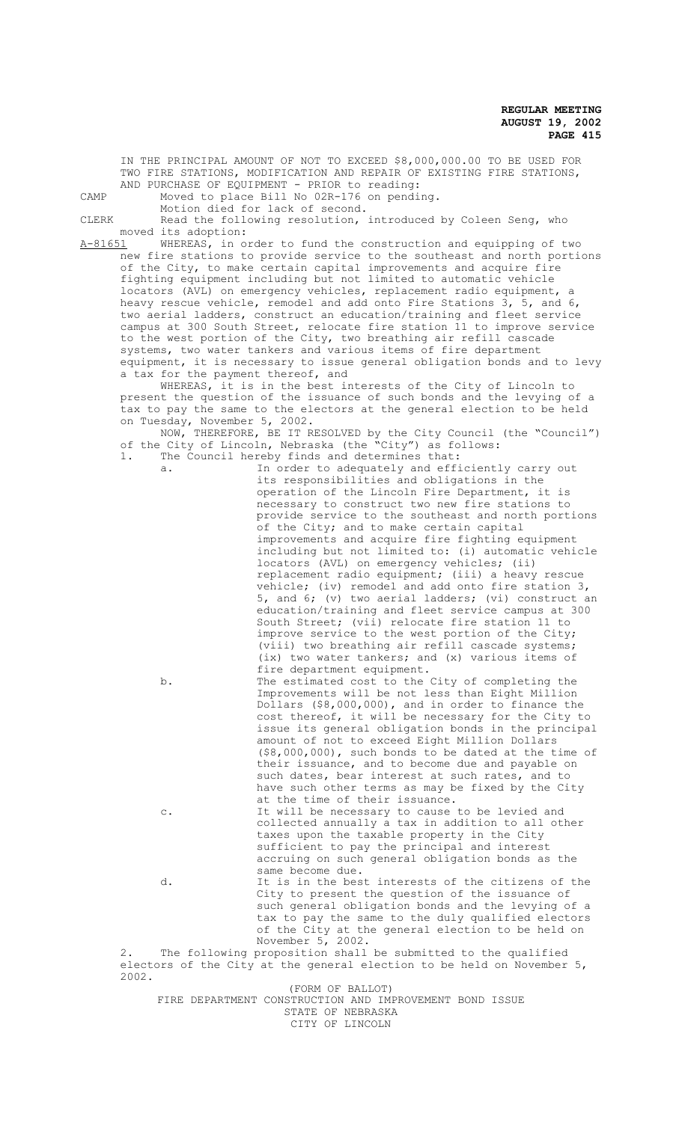IN THE PRINCIPAL AMOUNT OF NOT TO EXCEED \$8,000,000.00 TO BE USED FOR TWO FIRE STATIONS, MODIFICATION AND REPAIR OF EXISTING FIRE STATIONS, AND PURCHASE OF EQUIPMENT - PRIOR to reading: CAMP Moved to place Bill No 02R-176 on pending. Motion died for lack of second. CLERK Read the following resolution, introduced by Coleen Seng, who moved its adoption:<br>A-81651 WHEREAS, in o WHEREAS, in order to fund the construction and equipping of two new fire stations to provide service to the southeast and north portions of the City, to make certain capital improvements and acquire fire fighting equipment including but not limited to automatic vehicle locators (AVL) on emergency vehicles, replacement radio equipment, a heavy rescue vehicle, remodel and add onto Fire Stations 3, 5, and 6, two aerial ladders, construct an education/training and fleet service campus at 300 South Street, relocate fire station 11 to improve service to the west portion of the City, two breathing air refill cascade systems, two water tankers and various items of fire department equipment, it is necessary to issue general obligation bonds and to levy a tax for the payment thereof, and WHEREAS, it is in the best interests of the City of Lincoln to present the question of the issuance of such bonds and the levying of a tax to pay the same to the electors at the general election to be held on Tuesday, November 5, 2002. NOW, THEREFORE, BE IT RESOLVED by the City Council (the "Council") of the City of Lincoln, Nebraska (the "City") as follows: 1. The Council hereby finds and determines that: a. In order to adequately and efficiently carry out its responsibilities and obligations in the operation of the Lincoln Fire Department, it is necessary to construct two new fire stations to provide service to the southeast and north portions of the City; and to make certain capital improvements and acquire fire fighting equipment including but not limited to: (i) automatic vehicle locators (AVL) on emergency vehicles; (ii) replacement radio equipment; (iii) a heavy rescue vehicle; (iv) remodel and add onto fire station 3, 5, and 6; (v) two aerial ladders; (vi) construct an education/training and fleet service campus at 300 South Street; (vii) relocate fire station 11 to improve service to the west portion of the City; (viii) two breathing air refill cascade systems; (ix) two water tankers; and (x) various items of fire department equipment. b. The estimated cost to the City of completing the Improvements will be not less than Eight Million Dollars (\$8,000,000), and in order to finance the cost thereof, it will be necessary for the City to issue its general obligation bonds in the principal amount of not to exceed Eight Million Dollars (\$8,000,000), such bonds to be dated at the time of their issuance, and to become due and payable on such dates, bear interest at such rates, and to have such other terms as may be fixed by the City at the time of their issuance. c. It will be necessary to cause to be levied and collected annually a tax in addition to all other taxes upon the taxable property in the City sufficient to pay the principal and interest accruing on such general obligation bonds as the same become due. d. It is in the best interests of the citizens of the City to present the question of the issuance of such general obligation bonds and the levying of a tax to pay the same to the duly qualified electors of the City at the general election to be held on November 5, 2002. 2. The following proposition shall be submitted to the qualified electors of the City at the general election to be held on November 5, 2002. (FORM OF BALLOT) FIRE DEPARTMENT CONSTRUCTION AND IMPROVEMENT BOND ISSUE STATE OF NEBRASKA CITY OF LINCOLN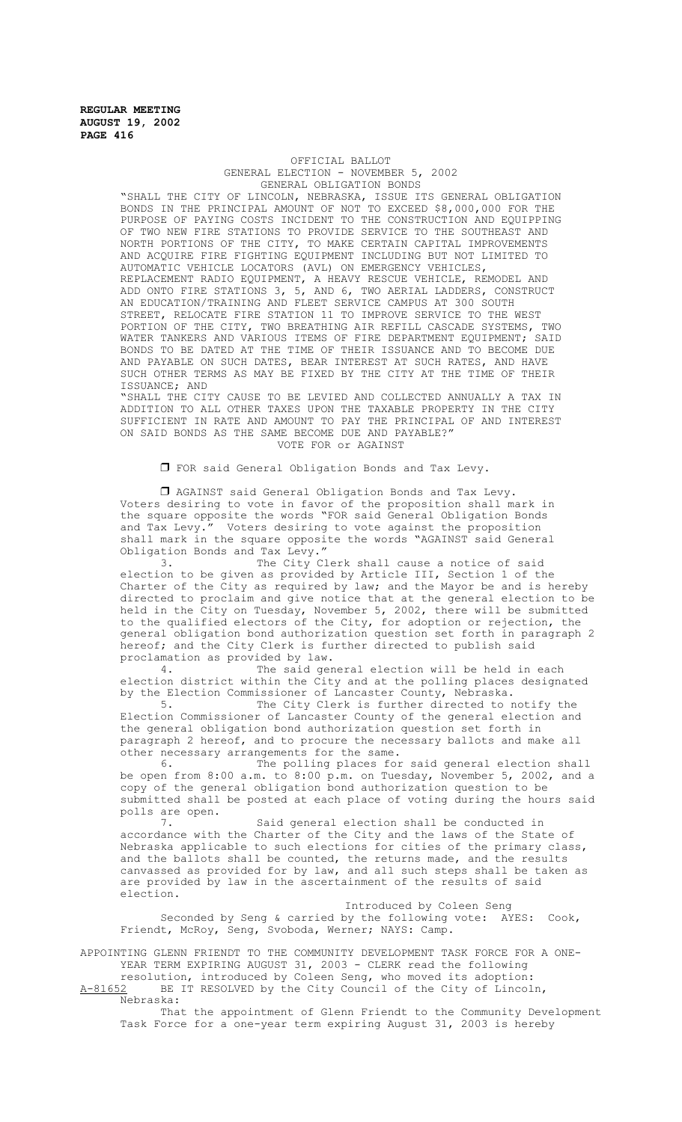#### OFFICIAL BALLOT GENERAL ELECTION - NOVEMBER 5, 2002 GENERAL OBLIGATION BONDS

"SHALL THE CITY OF LINCOLN, NEBRASKA, ISSUE ITS GENERAL OBLIGATION BONDS IN THE PRINCIPAL AMOUNT OF NOT TO EXCEED \$8,000,000 FOR THE PURPOSE OF PAYING COSTS INCIDENT TO THE CONSTRUCTION AND EQUIPPING OF TWO NEW FIRE STATIONS TO PROVIDE SERVICE TO THE SOUTHEAST AND NORTH PORTIONS OF THE CITY, TO MAKE CERTAIN CAPITAL IMPROVEMENTS AND ACQUIRE FIRE FIGHTING EQUIPMENT INCLUDING BUT NOT LIMITED TO AUTOMATIC VEHICLE LOCATORS (AVL) ON EMERGENCY VEHICLES, REPLACEMENT RADIO EQUIPMENT, A HEAVY RESCUE VEHICLE, REMODEL AND ADD ONTO FIRE STATIONS 3, 5, AND 6, TWO AERIAL LADDERS, CONSTRUCT AN EDUCATION/TRAINING AND FLEET SERVICE CAMPUS AT 300 SOUTH STREET, RELOCATE FIRE STATION 11 TO IMPROVE SERVICE TO THE WEST PORTION OF THE CITY, TWO BREATHING AIR REFILL CASCADE SYSTEMS, TWO WATER TANKERS AND VARIOUS ITEMS OF FIRE DEPARTMENT EQUIPMENT; SAID BONDS TO BE DATED AT THE TIME OF THEIR ISSUANCE AND TO BECOME DUE AND PAYABLE ON SUCH DATES, BEAR INTEREST AT SUCH RATES, AND HAVE SUCH OTHER TERMS AS MAY BE FIXED BY THE CITY AT THE TIME OF THEIR ISSUANCE; AND

"SHALL THE CITY CAUSE TO BE LEVIED AND COLLECTED ANNUALLY A TAX IN ADDITION TO ALL OTHER TAXES UPON THE TAXABLE PROPERTY IN THE CITY SUFFICIENT IN RATE AND AMOUNT TO PAY THE PRINCIPAL OF AND INTEREST ON SAID BONDS AS THE SAME BECOME DUE AND PAYABLE?" VOTE FOR or AGAINST

 $\Box$  FOR said General Obligation Bonds and Tax Levy.

 $\Box$  AGAINST said General Obligation Bonds and Tax Levy. Voters desiring to vote in favor of the proposition shall mark in the square opposite the words "FOR said General Obligation Bonds<br>and Tax Levy." Voters desiring to vote against the proposition Voters desiring to vote against the proposition shall mark in the square opposite the words "AGAINST said General Obligation Bonds and Tax Levy."

3. The City Clerk shall cause a notice of said election to be given as provided by Article III, Section 1 of the Charter of the City as required by law; and the Mayor be and is hereby directed to proclaim and give notice that at the general election to be held in the City on Tuesday, November 5, 2002, there will be submitted to the qualified electors of the City, for adoption or rejection, the general obligation bond authorization question set forth in paragraph 2 hereof; and the City Clerk is further directed to publish said proclamation as provided by law.

The said general election will be held in each election district within the City and at the polling places designated by the Election Commissioner of Lancaster County, Nebraska.

5. The City Clerk is further directed to notify the Election Commissioner of Lancaster County of the general election and the general obligation bond authorization question set forth in paragraph 2 hereof, and to procure the necessary ballots and make all other necessary arrangements for the same.

6. The polling places for said general election shall be open from 8:00 a.m. to 8:00 p.m. on Tuesday, November 5, 2002, and a copy of the general obligation bond authorization question to be submitted shall be posted at each place of voting during the hours said polls are open.

7. Said general election shall be conducted in accordance with the Charter of the City and the laws of the State of Nebraska applicable to such elections for cities of the primary class, and the ballots shall be counted, the returns made, and the results canvassed as provided for by law, and all such steps shall be taken as are provided by law in the ascertainment of the results of said election.

Introduced by Coleen Seng Seconded by Seng & carried by the following vote: AYES: Cook, Friendt, McRoy, Seng, Svoboda, Werner; NAYS: Camp.

APPOINTING GLENN FRIENDT TO THE COMMUNITY DEVELOPMENT TASK FORCE FOR A ONE-YEAR TERM EXPIRING AUGUST 31, 2003 - CLERK read the following resolution, introduced by Coleen Seng, who moved its adoption:

A-81652 BE IT RESOLVED by the City Council of the City of Lincoln, Nebraska:

That the appointment of Glenn Friendt to the Community Development Task Force for a one-year term expiring August 31, 2003 is hereby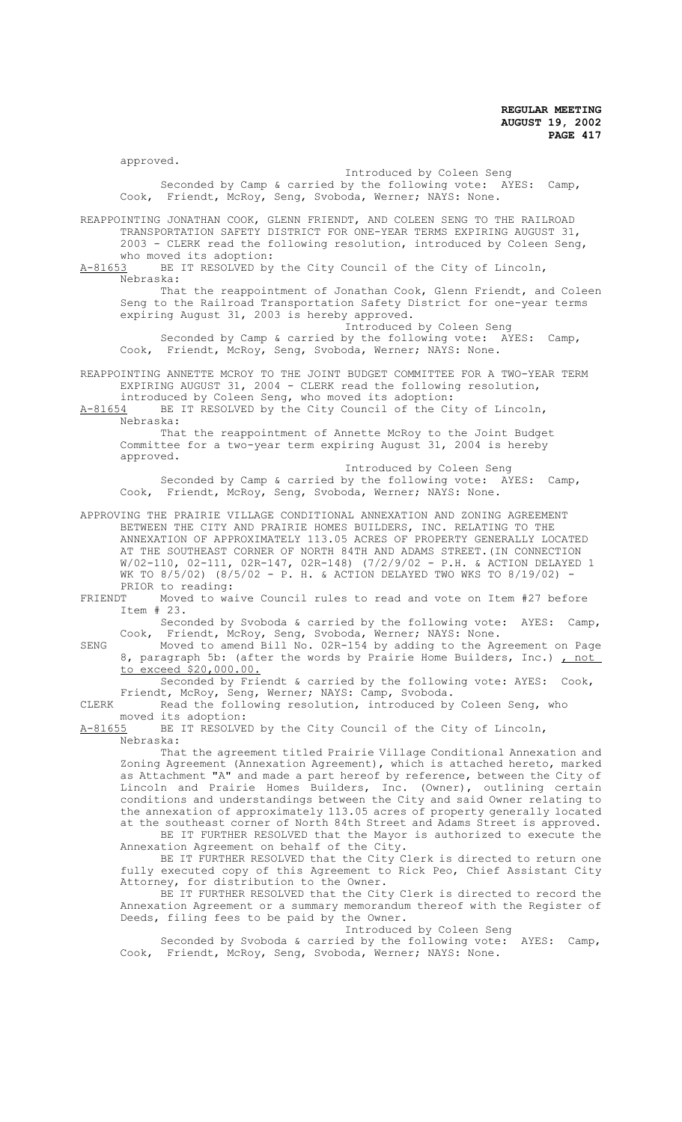approved.

Introduced by Coleen Seng Seconded by Camp & carried by the following vote: AYES: Camp, Cook, Friendt, McRoy, Seng, Svoboda, Werner; NAYS: None.

REAPPOINTING JONATHAN COOK, GLENN FRIENDT, AND COLEEN SENG TO THE RAILROAD TRANSPORTATION SAFETY DISTRICT FOR ONE-YEAR TERMS EXPIRING AUGUST 31, 2003 - CLERK read the following resolution, introduced by Coleen Seng,

who moved its adoption:<br>A-81653 BE IT RESOLVED bv BE IT RESOLVED by the City Council of the City of Lincoln, Nebraska:

That the reappointment of Jonathan Cook, Glenn Friendt, and Coleen Seng to the Railroad Transportation Safety District for one-year terms expiring August 31, 2003 is hereby approved.

Introduced by Coleen Seng Seconded by Camp & carried by the following vote: AYES: Camp, Cook, Friendt, McRoy, Seng, Svoboda, Werner; NAYS: None.

REAPPOINTING ANNETTE MCROY TO THE JOINT BUDGET COMMITTEE FOR A TWO-YEAR TERM EXPIRING AUGUST 31, 2004 - CLERK read the following resolution,

introduced by Coleen Seng, who moved its adoption:<br>A-81654 BE IT RESOLVED by the City Council of the Ci BE IT RESOLVED by the City Council of the City of Lincoln,

Nebraska:

That the reappointment of Annette McRoy to the Joint Budget Committee for a two-year term expiring August 31, 2004 is hereby approved.

Introduced by Coleen Seng Seconded by Camp & carried by the following vote: AYES: Camp, Cook, Friendt, McRoy, Seng, Svoboda, Werner; NAYS: None.

APPROVING THE PRAIRIE VILLAGE CONDITIONAL ANNEXATION AND ZONING AGREEMENT BETWEEN THE CITY AND PRAIRIE HOMES BUILDERS, INC. RELATING TO THE ANNEXATION OF APPROXIMATELY 113.05 ACRES OF PROPERTY GENERALLY LOCATED AT THE SOUTHEAST CORNER OF NORTH 84TH AND ADAMS STREET.(IN CONNECTION W/02-110, 02-111, 02R-147, 02R-148) (7/2/9/02 - P.H. & ACTION DELAYED 1 WK TO  $8/5/02$ ) ( $8/5/02$  - P. H. & ACTION DELAYED TWO WKS TO  $8/19/02$ ) PRIOR to reading:<br>FRIENDT Moved to wa

Moved to waive Council rules to read and vote on Item #27 before Item # 23.

Seconded by Svoboda & carried by the following vote: AYES: Camp, Cook, Friendt, McRoy, Seng, Svoboda, Werner; NAYS: None.

SENG Moved to amend Bill No. 02R-154 by adding to the Agreement on Page 8, paragraph 5b: (after the words by Prairie Home Builders, Inc.) , not to exceed \$20,000.00.

Seconded by Friendt & carried by the following vote: AYES: Cook, Friendt, McRoy, Seng, Werner; NAYS: Camp, Svoboda.

CLERK Read the following resolution, introduced by Coleen Seng, who moved its adoption:<br>A-81655 BE IT RESOLVE

BE IT RESOLVED by the City Council of the City of Lincoln, Nebraska:

That the agreement titled Prairie Village Conditional Annexation and Zoning Agreement (Annexation Agreement), which is attached hereto, marked as Attachment "A" and made a part hereof by reference, between the City of Lincoln and Prairie Homes Builders, Inc. (Owner), outlining certain conditions and understandings between the City and said Owner relating to the annexation of approximately 113.05 acres of property generally located at the southeast corner of North 84th Street and Adams Street is approved.

BE IT FURTHER RESOLVED that the Mayor is authorized to execute the Annexation Agreement on behalf of the City.

BE IT FURTHER RESOLVED that the City Clerk is directed to return one fully executed copy of this Agreement to Rick Peo, Chief Assistant City Attorney, for distribution to the Owner.

BE IT FURTHER RESOLVED that the City Clerk is directed to record the Annexation Agreement or a summary memorandum thereof with the Register of Deeds, filing fees to be paid by the Owner.

Introduced by Coleen Seng

Seconded by Svoboda & carried by the following vote: AYES: Camp, Cook, Friendt, McRoy, Seng, Svoboda, Werner; NAYS: None.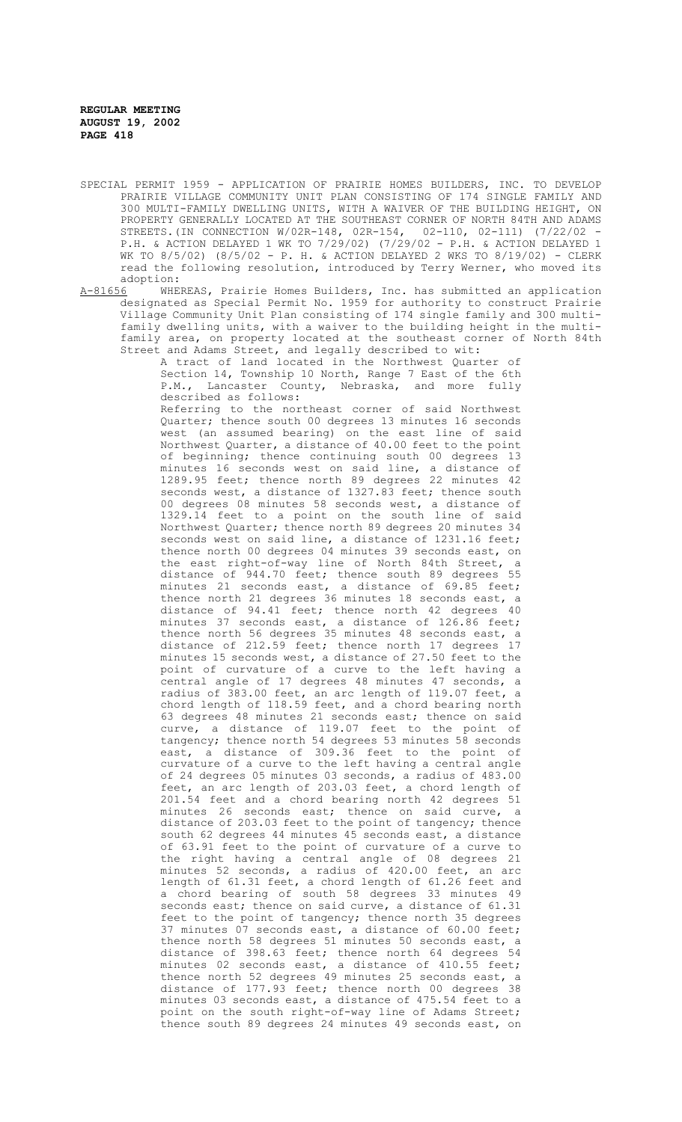- SPECIAL PERMIT 1959 APPLICATION OF PRAIRIE HOMES BUILDERS, INC. TO DEVELOP PRAIRIE VILLAGE COMMUNITY UNIT PLAN CONSISTING OF 174 SINGLE FAMILY AND 300 MULTI-FAMILY DWELLING UNITS, WITH A WAIVER OF THE BUILDING HEIGHT, ON PROPERTY GENERALLY LOCATED AT THE SOUTHEAST CORNER OF NORTH 84TH AND ADAMS<br>STREETS.(IN CONNECTION W/02R-148, 02R-154, 02-110, 02-111) (7/22/02 -STREETS.(IN CONNECTION W/02R-148, 02R-154, P.H. & ACTION DELAYED 1 WK TO 7/29/02) (7/29/02 - P.H. & ACTION DELAYED 1 WK TO 8/5/02) (8/5/02 - P. H. & ACTION DELAYED 2 WKS TO 8/19/02) - CLERK read the following resolution, introduced by Terry Werner, who moved its
- adoption:<br>A-81656 WHE A-81656 WHEREAS, Prairie Homes Builders, Inc. has submitted an application designated as Special Permit No. 1959 for authority to construct Prairie Village Community Unit Plan consisting of 174 single family and 300 multifamily dwelling units, with a waiver to the building height in the multifamily area, on property located at the southeast corner of North 84th Street and Adams Street, and legally described to wit:

A tract of land located in the Northwest Quarter of Section 14, Township 10 North, Range 7 East of the 6th P.M., Lancaster County, Nebraska, and more fully described as follows:

Referring to the northeast corner of said Northwest Quarter; thence south 00 degrees 13 minutes 16 seconds west (an assumed bearing) on the east line of said Northwest Quarter, a distance of 40.00 feet to the point of beginning; thence continuing south 00 degrees 13 minutes 16 seconds west on said line, a distance of 1289.95 feet; thence north 89 degrees 22 minutes 42 seconds west, a distance of 1327.83 feet; thence south 00 degrees 08 minutes 58 seconds west, a distance of 1329.14 feet to a point on the south line of said Northwest Quarter; thence north 89 degrees 20 minutes 34 seconds west on said line, a distance of 1231.16 feet; thence north 00 degrees 04 minutes 39 seconds east, on the east right-of-way line of North 84th Street, a distance of 944.70 feet; thence south 89 degrees 55 minutes 21 seconds east, a distance of 69.85 feet; thence north 21 degrees 36 minutes 18 seconds east, a distance of 94.41 feet; thence north 42 degrees 40 minutes 37 seconds east, a distance of 126.86 feet; thence north 56 degrees 35 minutes 48 seconds east, a distance of 212.59 feet; thence north 17 degrees 17 minutes 15 seconds west, a distance of 27.50 feet to the point of curvature of a curve to the left having a central angle of 17 degrees 48 minutes 47 seconds, a radius of 383.00 feet, an arc length of 119.07 feet, a chord length of 118.59 feet, and a chord bearing north 63 degrees 48 minutes 21 seconds east; thence on said curve, a distance of 119.07 feet to the point of tangency; thence north 54 degrees 53 minutes 58 seconds east, a distance of 309.36 feet to the point of curvature of a curve to the left having a central angle of 24 degrees 05 minutes 03 seconds, a radius of 483.00 feet, an arc length of 203.03 feet, a chord length of 201.54 feet and a chord bearing north 42 degrees 51 minutes 26 seconds east; thence on said curve, a distance of 203.03 feet to the point of tangency; thence south 62 degrees 44 minutes 45 seconds east, a distance of 63.91 feet to the point of curvature of a curve to the right having a central angle of 08 degrees 21 minutes 52 seconds, a radius of 420.00 feet, an arc length of 61.31 feet, a chord length of 61.26 feet and a chord bearing of south 58 degrees 33 minutes 49 seconds east; thence on said curve, a distance of 61.31 feet to the point of tangency; thence north 35 degrees 37 minutes 07 seconds east, a distance of 60.00 feet; thence north 58 degrees 51 minutes 50 seconds east, a distance of 398.63 feet; thence north 64 degrees 54 minutes 02 seconds east, a distance of 410.55 feet; thence north 52 degrees 49 minutes 25 seconds east, a distance of 177.93 feet; thence north 00 degrees 38 minutes 03 seconds east, a distance of 475.54 feet to a point on the south right-of-way line of Adams Street; thence south 89 degrees 24 minutes 49 seconds east, on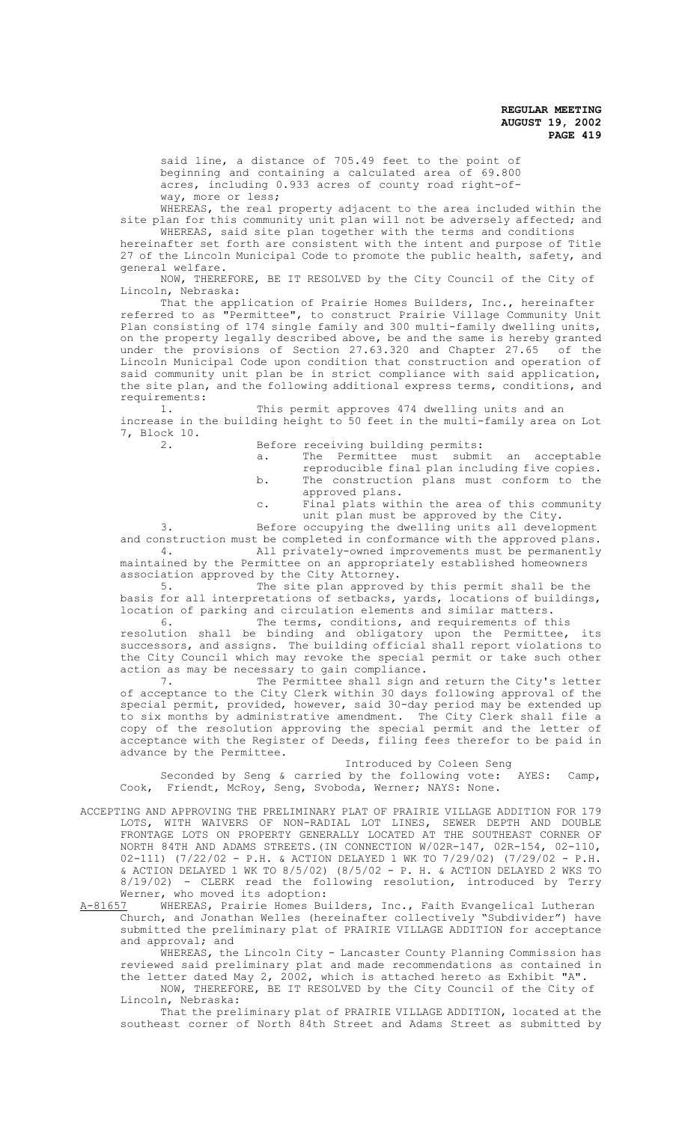said line, a distance of 705.49 feet to the point of beginning and containing a calculated area of 69.800 acres, including 0.933 acres of county road right-ofway, more or less;

WHEREAS, the real property adjacent to the area included within the site plan for this community unit plan will not be adversely affected; and WHEREAS, said site plan together with the terms and conditions

hereinafter set forth are consistent with the intent and purpose of Title 27 of the Lincoln Municipal Code to promote the public health, safety, and general welfare.

NOW, THEREFORE, BE IT RESOLVED by the City Council of the City of Lincoln, Nebraska:

That the application of Prairie Homes Builders, Inc., hereinafter referred to as "Permittee", to construct Prairie Village Community Unit Plan consisting of 174 single family and 300 multi-family dwelling units, on the property legally described above, be and the same is hereby granted under the provisions of Section 27.63.320 and Chapter 27.65 of the Lincoln Municipal Code upon condition that construction and operation of said community unit plan be in strict compliance with said application, the site plan, and the following additional express terms, conditions, and requirements:

1. This permit approves 474 dwelling units and an increase in the building height to 50 feet in the multi-family area on Lot 7, Block 10.<br>2.

Before receiving building permits:

- a. The Permittee must submit an acceptable reproducible final plan including five copies. b. The construction plans must conform to the
- approved plans. c. Final plats within the area of this community
	- unit plan must be approved by the City.

3. Before occupying the dwelling units all development and construction must be completed in conformance with the approved plans. 4. All privately-owned improvements must be permanently maintained by the Permittee on an appropriately established homeowners

association approved by the City Attorney.<br>5. The site plan approved The site plan approved by this permit shall be the basis for all interpretations of setbacks, yards, locations of buildings, location of parking and circulation elements and similar matters.

6. The terms, conditions, and requirements of this resolution shall be binding and obligatory upon the Permittee, its successors, and assigns. The building official shall report violations to

the City Council which may revoke the special permit or take such other action as may be necessary to gain compliance. 7. The Permittee shall sign and return the City's letter

of acceptance to the City Clerk within 30 days following approval of the special permit, provided, however, said 30-day period may be extended up to six months by administrative amendment. The City Clerk shall file a copy of the resolution approving the special permit and the letter of acceptance with the Register of Deeds, filing fees therefor to be paid in advance by the Permittee.

Introduced by Coleen Seng<br>by the following vote: AYES: Camp, Seconded by Seng & carried by the following vote: Cook, Friendt, McRoy, Seng, Svoboda, Werner; NAYS: None.

ACCEPTING AND APPROVING THE PRELIMINARY PLAT OF PRAIRIE VILLAGE ADDITION FOR 179 LOTS, WITH WAIVERS OF NON-RADIAL LOT LINES, SEWER DEPTH AND DOUBLE FRONTAGE LOTS ON PROPERTY GENERALLY LOCATED AT THE SOUTHEAST CORNER OF NORTH 84TH AND ADAMS STREETS.(IN CONNECTION W/02R-147, 02R-154, 02-110, 02-111) (7/22/02 - P.H. & ACTION DELAYED 1 WK TO 7/29/02) (7/29/02 - P.H. & ACTION DELAYED 1 WK TO 8/5/02) (8/5/02 - P. H. & ACTION DELAYED 2 WKS TO 8/19/02) - CLERK read the following resolution, introduced by Terry Werner, who moved its adoption:<br>A-81657 WHEREAS, Prairie Homes Bu

A-81657 WHEREAS, Prairie Homes Builders, Inc., Faith Evangelical Lutheran Church, and Jonathan Welles (hereinafter collectively "Subdivider") have submitted the preliminary plat of PRAIRIE VILLAGE ADDITION for acceptance and approval; and

WHEREAS, the Lincoln City - Lancaster County Planning Commission has reviewed said preliminary plat and made recommendations as contained in the letter dated May 2, 2002, which is attached hereto as Exhibit "A".

NOW, THEREFORE, BE IT RESOLVED by the City Council of the City of Lincoln, Nebraska:

That the preliminary plat of PRAIRIE VILLAGE ADDITION, located at the southeast corner of North 84th Street and Adams Street as submitted by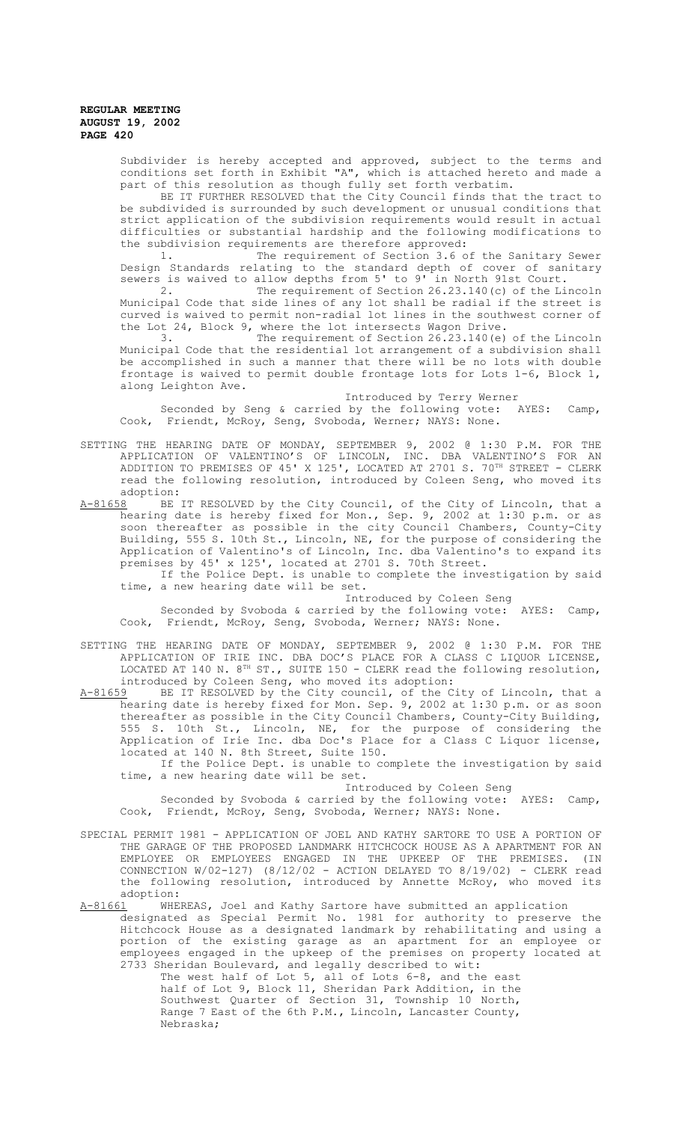> Subdivider is hereby accepted and approved, subject to the terms and conditions set forth in Exhibit "A", which is attached hereto and made a part of this resolution as though fully set forth verbatim.

> BE IT FURTHER RESOLVED that the City Council finds that the tract to be subdivided is surrounded by such development or unusual conditions that strict application of the subdivision requirements would result in actual difficulties or substantial hardship and the following modifications to the subdivision requirements are therefore approved:

> 1. The requirement of Section 3.6 of the Sanitary Sewer Design Standards relating to the standard depth of cover of sanitary

> sewers is waived to allow depths from 5' to 9' in North 91st Court.<br>2. The requirement of Section 26.23.140(c) of the Li The requirement of Section 26.23.140(c) of the Lincoln Municipal Code that side lines of any lot shall be radial if the street is curved is waived to permit non-radial lot lines in the southwest corner of the Lot 24, Block 9, where the lot intersects Wagon Drive.

> 3. The requirement of Section 26.23.140(e) of the Lincoln Municipal Code that the residential lot arrangement of a subdivision shall be accomplished in such a manner that there will be no lots with double frontage is waived to permit double frontage lots for Lots 1-6, Block 1, along Leighton Ave.

Introduced by Terry Werner<br>by the following vote: AYES: Camp, Seconded by Seng & carried by the following vote: AYES: Camp, Cook, Friendt, McRoy, Seng, Svoboda, Werner; NAYS: None.

SETTING THE HEARING DATE OF MONDAY, SEPTEMBER 9, 2002 @ 1:30 P.M. FOR THE APPLICATION OF VALENTINO'S OF LINCOLN, INC. DBA VALENTINO'S FOR AN ADDITION TO PREMISES OF 45' X 125', LOCATED AT 2701 S. 70TH STREET - CLERK read the following resolution, introduced by Coleen Seng, who moved its adoption:

A-81658 BE IT RESOLVED by the City Council, of the City of Lincoln, that a hearing date is hereby fixed for Mon., Sep. 9, 2002 at 1:30 p.m. or as soon thereafter as possible in the city Council Chambers, County-City Building, 555 S. 10th St., Lincoln, NE, for the purpose of considering the Application of Valentino's of Lincoln, Inc. dba Valentino's to expand its premises by 45' x 125', located at 2701 S. 70th Street.

If the Police Dept. is unable to complete the investigation by said time, a new hearing date will be set.

Introduced by Coleen Seng

Seconded by Svoboda & carried by the following vote: AYES: Camp, Cook, Friendt, McRoy, Seng, Svoboda, Werner; NAYS: None.

- SETTING THE HEARING DATE OF MONDAY, SEPTEMBER 9, 2002 @ 1:30 P.M. FOR THE APPLICATION OF IRIE INC. DBA DOC'S PLACE FOR A CLASS C LIQUOR LICENSE, LOCATED AT 140 N.  $8^{TH}$  ST., SUITE 150 - CLERK read the following resolution, introduced by Coleen Seng, who moved its adoption:<br>A-81659 BE IT RESOLVED by the City council, of the C
- A-81659 BE IT RESOLVED by the City council, of the City of Lincoln, that a hearing date is hereby fixed for Mon. Sep. 9, 2002 at 1:30 p.m. or as soon thereafter as possible in the City Council Chambers, County-City Building, 555 S. 10th St., Lincoln, NE, for the purpose of considering the Application of Irie Inc. dba Doc's Place for a Class C Liquor license, located at 140 N. 8th Street, Suite 150.

If the Police Dept. is unable to complete the investigation by said time, a new hearing date will be set.

Introduced by Coleen Seng

Seconded by Svoboda & carried by the following vote: AYES: Camp, Cook, Friendt, McRoy, Seng, Svoboda, Werner; NAYS: None.

SPECIAL PERMIT 1981 - APPLICATION OF JOEL AND KATHY SARTORE TO USE A PORTION OF THE GARAGE OF THE PROPOSED LANDMARK HITCHCOCK HOUSE AS A APARTMENT FOR AN EMPLOYEE OR EMPLOYEES ENGAGED IN THE UPKEEP OF THE PREMISES. (IN CONNECTION W/02-127) (8/12/02 - ACTION DELAYED TO 8/19/02) - CLERK read the following resolution, introduced by Annette McRoy, who moved its adoption:<br>A-81661 WHE

A-81661 MHEREAS, Joel and Kathy Sartore have submitted an application designated as Special Permit No. 1981 for authority to preserve the Hitchcock House as a designated landmark by rehabilitating and using a portion of the existing garage as an apartment for an employee or employees engaged in the upkeep of the premises on property located at 2733 Sheridan Boulevard, and legally described to wit:

The west half of Lot 5, all of Lots 6-8, and the east half of Lot 9, Block 11, Sheridan Park Addition, in the Southwest Quarter of Section 31, Township 10 North, Range 7 East of the 6th P.M., Lincoln, Lancaster County, Nebraska;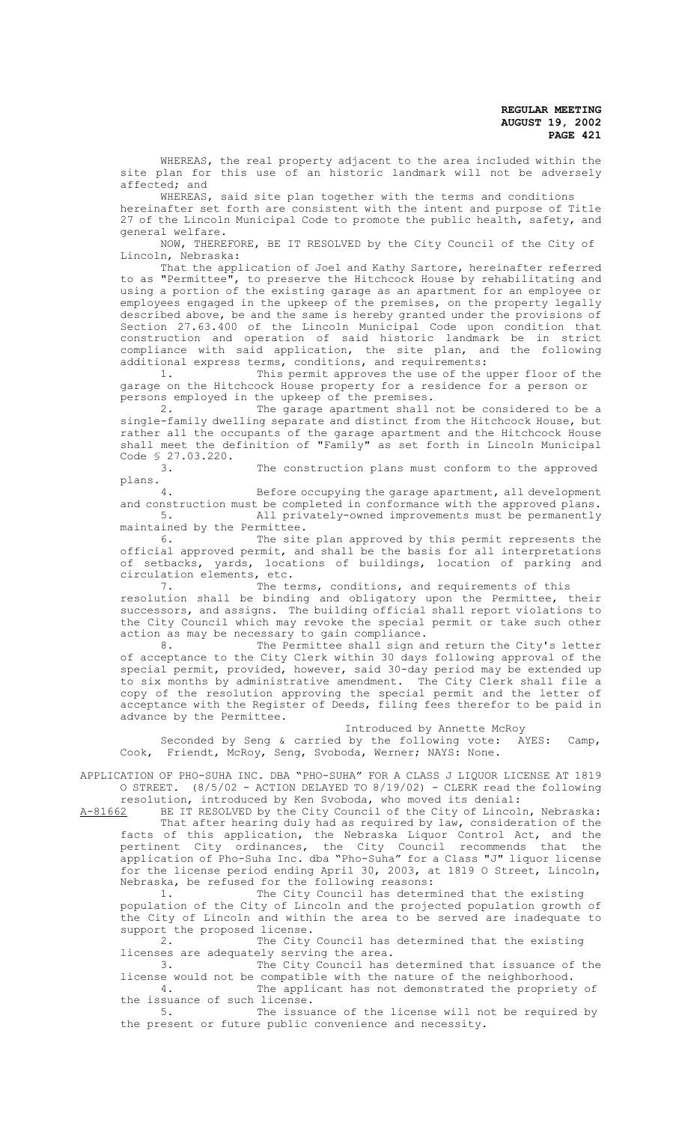WHEREAS, the real property adjacent to the area included within the site plan for this use of an historic landmark will not be adversely affected; and

WHEREAS, said site plan together with the terms and conditions hereinafter set forth are consistent with the intent and purpose of Title 27 of the Lincoln Municipal Code to promote the public health, safety, and general welfare.

NOW, THEREFORE, BE IT RESOLVED by the City Council of the City of Lincoln, Nebraska:

That the application of Joel and Kathy Sartore, hereinafter referred to as "Permittee", to preserve the Hitchcock House by rehabilitating and using a portion of the existing garage as an apartment for an employee or employees engaged in the upkeep of the premises, on the property legally described above, be and the same is hereby granted under the provisions of Section 27.63.400 of the Lincoln Municipal Code upon condition that construction and operation of said historic landmark be in strict compliance with said application, the site plan, and the following additional express terms, conditions, and requirements:<br>1. This permit approves the use of the

This permit approves the use of the upper floor of the garage on the Hitchcock House property for a residence for a person or persons employed in the upkeep of the premises.

2. The garage apartment shall not be considered to be a single-family dwelling separate and distinct from the Hitchcock House, but rather all the occupants of the garage apartment and the Hitchcock House shall meet the definition of "Family" as set forth in Lincoln Municipal Code § 27.03.220.<br>3.

The construction plans must conform to the approved plans.

Before occupying the garage apartment, all development and construction must be completed in conformance with the approved plans.<br>5. All privately-owned improvements must be permanently All privately-owned improvements must be permanently maintained by the Permittee.

6. The site plan approved by this permit represents the official approved permit, and shall be the basis for all interpretations of setbacks, yards, locations of buildings, location of parking and circulation elements, etc.<br>7. The te

The terms, conditions, and requirements of this resolution shall be binding and obligatory upon the Permittee, their successors, and assigns. The building official shall report violations to the City Council which may revoke the special permit or take such other

action as may be necessary to gain compliance. 8. The Permittee shall sign and return the City's letter of acceptance to the City Clerk within 30 days following approval of the special permit, provided, however, said 30-day period may be extended up to six months by administrative amendment. The City Clerk shall file a copy of the resolution approving the special permit and the letter of acceptance with the Register of Deeds, filing fees therefor to be paid in

Introduced by Annette McRoy

Seconded by Seng & carried by the following vote: AYES: Camp, Cook, Friendt, McRoy, Seng, Svoboda, Werner; NAYS: None.

APPLICATION OF PHO-SUHA INC. DBA "PHO-SUHA" FOR A CLASS J LIQUOR LICENSE AT 1819 O STREET.  $(8/5/02$  - ACTION DELAYED TO  $8/19/02$ ) - CLERK read the following

advance by the Permittee.

resolution, introduced by Ken Svoboda, who moved its denial:<br>A-81662 BE IT RESOLVED by the City Council of the City of Lincol BE IT RESOLVED by the City Council of the City of Lincoln, Nebraska: That after hearing duly had as required by law, consideration of the facts of this application, the Nebraska Liquor Control Act, and the pertinent City ordinances, the City Council recommends that the application of Pho-Suha Inc. dba "Pho-Suha" for a Class "J" liquor license for the license period ending April 30, 2003, at 1819 O Street, Lincoln, Nebraska, be refused for the following reasons:

1. The City Council has determined that the existing population of the City of Lincoln and the projected population growth of the City of Lincoln and within the area to be served are inadequate to support the proposed license.

2. The City Council has determined that the existing licenses are adequately serving the area.<br>3. The City Council has

The City Council has determined that issuance of the license would not be compatible with the nature of the neighborhood.

4. The applicant has not demonstrated the propriety of the issuance of such license.

5. The issuance of the license will not be required by the present or future public convenience and necessity.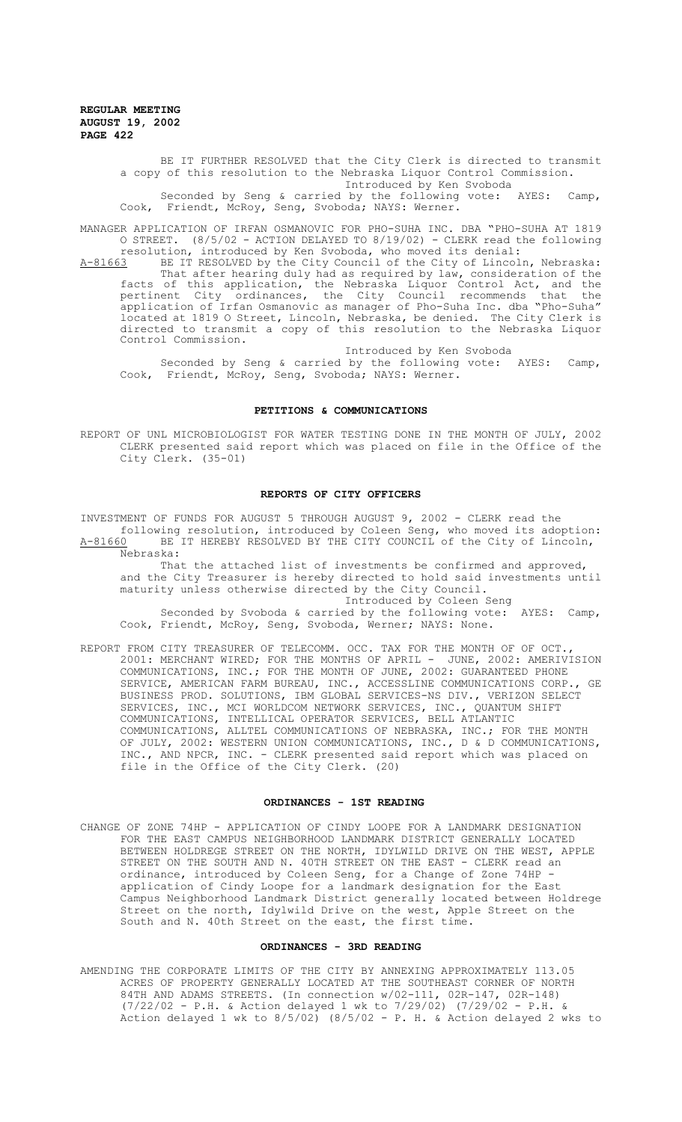> BE IT FURTHER RESOLVED that the City Clerk is directed to transmit a copy of this resolution to the Nebraska Liquor Control Commission. Introduced by Ken Svoboda

Seconded by Seng & carried by the following vote: AYES: Camp, Cook, Friendt, McRoy, Seng, Svoboda; NAYS: Werner.

MANAGER APPLICATION OF IRFAN OSMANOVIC FOR PHO-SUHA INC. DBA "PHO-SUHA AT 1819 O STREET. (8/5/02 - ACTION DELAYED TO 8/19/02) - CLERK read the following resolution, introduced by Ken Svoboda, who moved its denial:

A-81663 BE IT RESOLVED by the City Council of the City of Lincoln, Nebraska: That after hearing duly had as required by law, consideration of the facts of this application, the Nebraska Liquor Control Act, and the pertinent City ordinances, the City Council recommends that the application of Irfan Osmanovic as manager of Pho-Suha Inc. dba "Pho-Suha" located at 1819 O Street, Lincoln, Nebraska, be denied. The City Clerk is directed to transmit a copy of this resolution to the Nebraska Liquor Control Commission.

Introduced by Ken Svoboda Seconded by Seng & carried by the following vote: AYES: Camp, Cook, Friendt, McRoy, Seng, Svoboda; NAYS: Werner.

#### **PETITIONS & COMMUNICATIONS**

REPORT OF UNL MICROBIOLOGIST FOR WATER TESTING DONE IN THE MONTH OF JULY, 2002 CLERK presented said report which was placed on file in the Office of the City Clerk. (35-01)

### **REPORTS OF CITY OFFICERS**

INVESTMENT OF FUNDS FOR AUGUST 5 THROUGH AUGUST 9, 2002 - CLERK read the following resolution, introduced by Coleen Seng, who moved its adoption: A-81660 BE IT HEREBY RESOLVED BY THE CITY COUNCIL of the City of Lincoln, Nebraska:

That the attached list of investments be confirmed and approved, and the City Treasurer is hereby directed to hold said investments until maturity unless otherwise directed by the City Council. Introduced by Coleen Seng

Seconded by Svoboda & carried by the following vote: AYES: Camp, Cook, Friendt, McRoy, Seng, Svoboda, Werner; NAYS: None.

REPORT FROM CITY TREASURER OF TELECOMM. OCC. TAX FOR THE MONTH OF OF OCT., 2001: MERCHANT WIRED; FOR THE MONTHS OF APRIL - JUNE, 2002: AMERIVISION COMMUNICATIONS, INC.; FOR THE MONTH OF JUNE, 2002: GUARANTEED PHONE SERVICE, AMERICAN FARM BUREAU, INC., ACCESSLINE COMMUNICATIONS CORP., GE BUSINESS PROD. SOLUTIONS, IBM GLOBAL SERVICES-NS DIV., VERIZON SELECT SERVICES, INC., MCI WORLDCOM NETWORK SERVICES, INC., QUANTUM SHIFT COMMUNICATIONS, INTELLICAL OPERATOR SERVICES, BELL ATLANTIC COMMUNICATIONS, ALLTEL COMMUNICATIONS OF NEBRASKA, INC.; FOR THE MONTH OF JULY, 2002: WESTERN UNION COMMUNICATIONS, INC., D & D COMMUNICATIONS, INC., AND NPCR, INC. - CLERK presented said report which was placed on file in the Office of the City Clerk. (20)

#### **ORDINANCES - 1ST READING**

CHANGE OF ZONE 74HP - APPLICATION OF CINDY LOOPE FOR A LANDMARK DESIGNATION FOR THE EAST CAMPUS NEIGHBORHOOD LANDMARK DISTRICT GENERALLY LOCATED BETWEEN HOLDREGE STREET ON THE NORTH, IDYLWILD DRIVE ON THE WEST, APPLE STREET ON THE SOUTH AND N. 40TH STREET ON THE EAST - CLERK read an ordinance, introduced by Coleen Seng, for a Change of Zone 74HP application of Cindy Loope for a landmark designation for the East Campus Neighborhood Landmark District generally located between Holdrege Street on the north, Idylwild Drive on the west, Apple Street on the South and N. 40th Street on the east, the first time.

#### **ORDINANCES - 3RD READING**

AMENDING THE CORPORATE LIMITS OF THE CITY BY ANNEXING APPROXIMATELY 113.05 ACRES OF PROPERTY GENERALLY LOCATED AT THE SOUTHEAST CORNER OF NORTH 84TH AND ADAMS STREETS. (In connection w/02-111, 02R-147, 02R-148) (7/22/02 - P.H. & Action delayed 1 wk to 7/29/02) (7/29/02 - P.H. & Action delayed 1 wk to 8/5/02) (8/5/02 - P. H. & Action delayed 2 wks to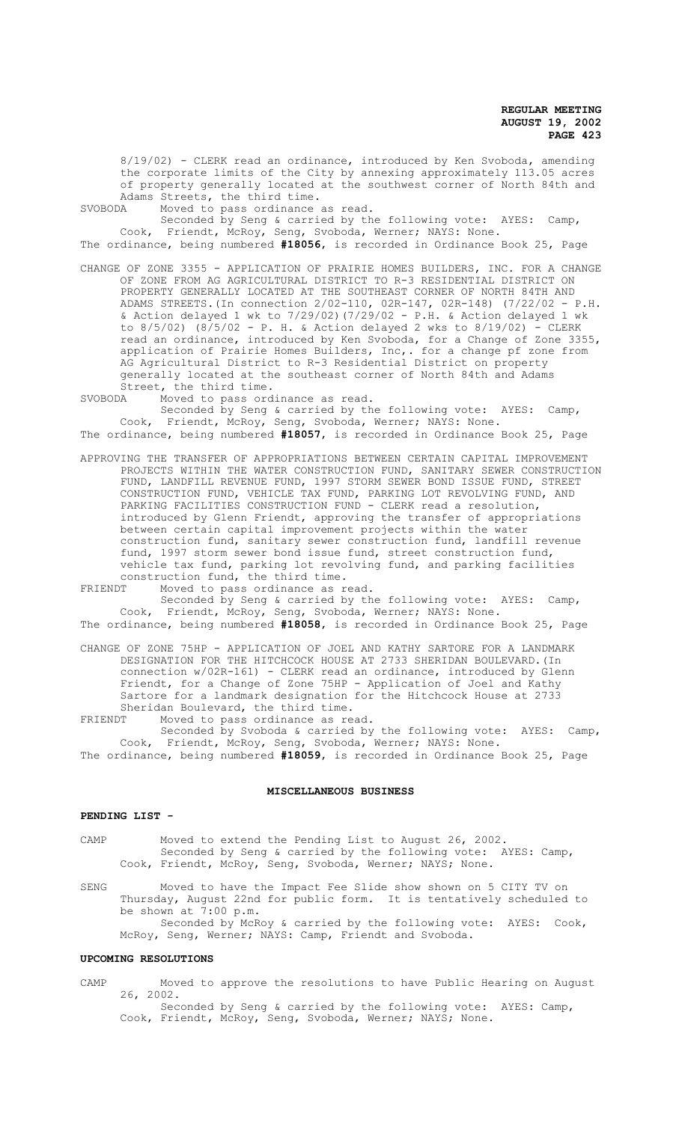8/19/02) - CLERK read an ordinance, introduced by Ken Svoboda, amending the corporate limits of the City by annexing approximately 113.05 acres of property generally located at the southwest corner of North 84th and Adams Streets, the third time.

SVOBODA Moved to pass ordinance as read.

Seconded by Seng & carried by the following vote: AYES: Camp, Cook, Friendt, McRoy, Seng, Svoboda, Werner; NAYS: None. The ordinance, being numbered **#18056**, is recorded in Ordinance Book 25, Page

CHANGE OF ZONE 3355 - APPLICATION OF PRAIRIE HOMES BUILDERS, INC. FOR A CHANGE OF ZONE FROM AG AGRICULTURAL DISTRICT TO R-3 RESIDENTIAL DISTRICT ON PROPERTY GENERALLY LOCATED AT THE SOUTHEAST CORNER OF NORTH 84TH AND ADAMS STREETS.(In connection 2/02-110, 02R-147, 02R-148) (7/22/02 - P.H. & Action delayed 1 wk to  $7/29/02$ ) (7/29/02 - P.H. & Action delayed 1 wk to 8/5/02) (8/5/02 - P. H. & Action delayed 2 wks to 8/19/02) - CLERK read an ordinance, introduced by Ken Svoboda, for a Change of Zone 3355, application of Prairie Homes Builders, Inc,. for a change pf zone from AG Agricultural District to R-3 Residential District on property generally located at the southeast corner of North 84th and Adams Street, the third time.<br>SVOBODA Moved to pass ord

Moved to pass ordinance as read.

Seconded by Seng & carried by the following vote: AYES: Camp, Cook, Friendt, McRoy, Seng, Svoboda, Werner; NAYS: None. The ordinance, being numbered **#18057**, is recorded in Ordinance Book 25, Page

APPROVING THE TRANSFER OF APPROPRIATIONS BETWEEN CERTAIN CAPITAL IMPROVEMENT PROJECTS WITHIN THE WATER CONSTRUCTION FUND, SANITARY SEWER CONSTRUCTION FUND, LANDFILL REVENUE FUND, 1997 STORM SEWER BOND ISSUE FUND, STREET CONSTRUCTION FUND, VEHICLE TAX FUND, PARKING LOT REVOLVING FUND, AND PARKING FACILITIES CONSTRUCTION FUND - CLERK read a resolution, introduced by Glenn Friendt, approving the transfer of appropriations between certain capital improvement projects within the water construction fund, sanitary sewer construction fund, landfill revenue fund, 1997 storm sewer bond issue fund, street construction fund, vehicle tax fund, parking lot revolving fund, and parking facilities construction fund, the third time.<br>FRIENDT Moved to pass ordinance as r

Moved to pass ordinance as read.

Seconded by Seng & carried by the following vote: AYES: Camp, Cook, Friendt, McRoy, Seng, Svoboda, Werner; NAYS: None. The ordinance, being numbered **#18058**, is recorded in Ordinance Book 25, Page

CHANGE OF ZONE 75HP - APPLICATION OF JOEL AND KATHY SARTORE FOR A LANDMARK DESIGNATION FOR THE HITCHCOCK HOUSE AT 2733 SHERIDAN BOULEVARD.(In connection w/02R-161) - CLERK read an ordinance, introduced by Glenn Friendt, for a Change of Zone 75HP - Application of Joel and Kathy Sartore for a landmark designation for the Hitchcock House at 2733 Sheridan Boulevard, the third time.

FRIENDT Moved to pass ordinance as read.

Seconded by Svoboda & carried by the following vote: AYES: Camp, Cook, Friendt, McRoy, Seng, Svoboda, Werner; NAYS: None. The ordinance, being numbered **#18059**, is recorded in Ordinance Book 25, Page

# **MISCELLANEOUS BUSINESS**

## **PENDING LIST -**

CAMP Moved to extend the Pending List to August 26, 2002. Seconded by Seng & carried by the following vote: AYES: Camp, Cook, Friendt, McRoy, Seng, Svoboda, Werner; NAYS; None.

SENG Moved to have the Impact Fee Slide show shown on 5 CITY TV on Thursday, August 22nd for public form. It is tentatively scheduled to be shown at 7:00 p.m. Seconded by McRoy & carried by the following vote: AYES: Cook, McRoy, Seng, Werner; NAYS: Camp, Friendt and Svoboda.

#### **UPCOMING RESOLUTIONS**

CAMP Moved to approve the resolutions to have Public Hearing on August 26, 2002.

Seconded by Seng & carried by the following vote: AYES: Camp, Cook, Friendt, McRoy, Seng, Svoboda, Werner; NAYS; None.